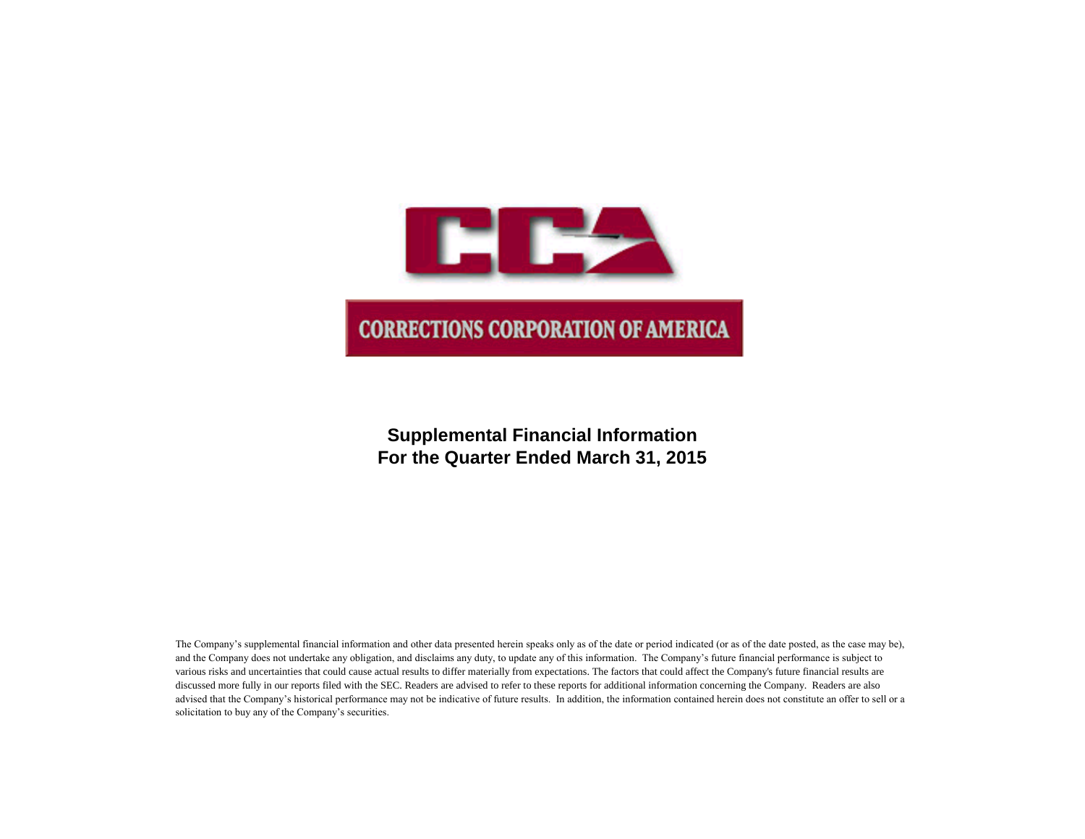

# **Supplemental Financial Information For the Quarter Ended March 31, 2015**

The Company's supplemental financial information and other data presented herein speaks only as of the date or period indicated (or as of the date posted, as the case may be), and the Company does not undertake any obligation, and disclaims any duty, to update any of this information. The Company's future financial performance is subject to various risks and uncertainties that could cause actual results to differ materially from expectations. The factors that could affect the Company's future financial results are discussed more fully in our reports filed with the SEC. Readers are advised to refer to these reports for additional information concerning the Company. Readers are also advised that the Company's historical performance may not be indicative of future results. In addition, the information contained herein does not constitute an offer to sell or a solicitation to buy any of the Company's securities.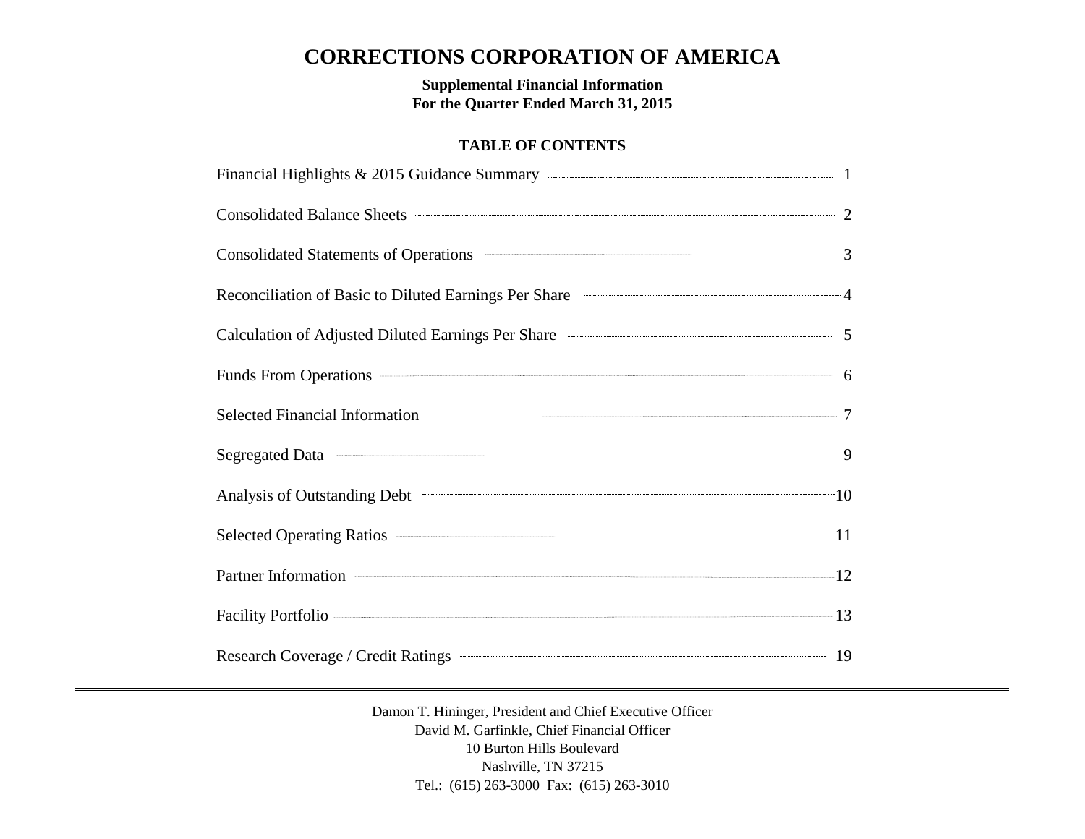# **CORRECTIONS CORPORATION OF AMERICA**

**Supplemental Financial Information For the Quarter Ended March 31, 2015**

## **TABLE OF CONTENTS**

| Consolidated Balance Sheets 2                                             |  |
|---------------------------------------------------------------------------|--|
| Consolidated Statements of Operations <b>Consolidated Statements</b> 3    |  |
| Reconciliation of Basic to Diluted Earnings Per Share 44                  |  |
| Calculation of Adjusted Diluted Earnings Per Share <b>Calculation</b> 6 5 |  |
| Funds From Operations 6                                                   |  |
|                                                                           |  |
|                                                                           |  |
| Analysis of Outstanding Debt 10                                           |  |
| Selected Operating Ratios 2014 11                                         |  |
| Partner Information 22                                                    |  |
| Facility Portfolio 2008 13                                                |  |
|                                                                           |  |

Damon T. Hininger, President and Chief Executive Officer David M. Garfinkle, Chief Financial Officer 10 Burton Hills Boulevard Nashville, TN 37215 Tel.: (615) 263-3000 Fax: (615) 263-3010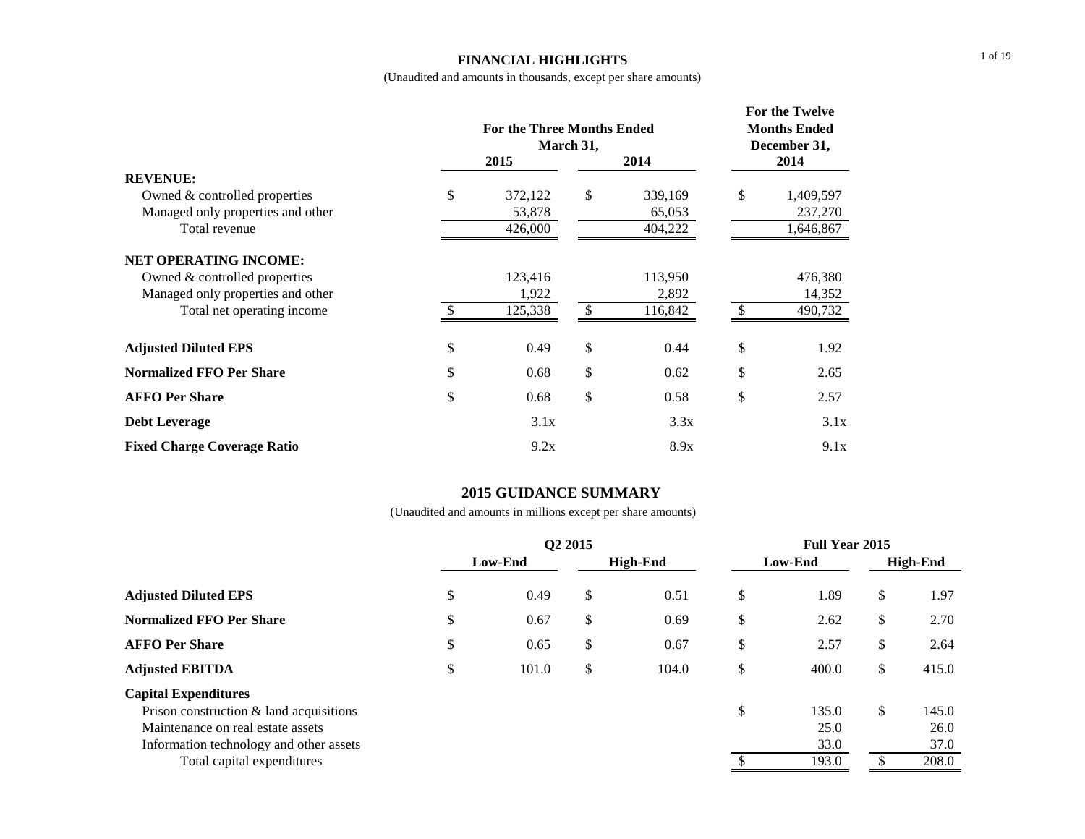### **FINANCIAL HIGHLIGHTS**

(Unaudited and amounts in thousands, except per share amounts)

|                                                                                                        | <b>For the Three Months Ended</b><br>March 31, |               | For the Twelve<br><b>Months Ended</b><br>December 31, |               |                                   |  |
|--------------------------------------------------------------------------------------------------------|------------------------------------------------|---------------|-------------------------------------------------------|---------------|-----------------------------------|--|
|                                                                                                        | 2015                                           | 2014          | 2014                                                  |               |                                   |  |
| <b>REVENUE:</b><br>Owned & controlled properties<br>Managed only properties and other<br>Total revenue | \$<br>372,122<br>53,878<br>426,000             | \$            | 339,169<br>65,053<br>404,222                          | \$            | 1,409,597<br>237,270<br>1,646,867 |  |
| <b>NET OPERATING INCOME:</b>                                                                           |                                                |               |                                                       |               |                                   |  |
| Owned & controlled properties                                                                          | 123,416                                        |               | 113,950                                               |               | 476,380                           |  |
| Managed only properties and other                                                                      | 1,922                                          |               | 2,892                                                 |               | 14,352                            |  |
| Total net operating income                                                                             | 125,338                                        | <sup>\$</sup> | 116,842                                               | <sup>\$</sup> | 490,732                           |  |
| <b>Adjusted Diluted EPS</b>                                                                            | \$<br>0.49                                     | \$            | 0.44                                                  | \$            | 1.92                              |  |
| <b>Normalized FFO Per Share</b>                                                                        | \$<br>0.68                                     | \$            | 0.62                                                  | \$            | 2.65                              |  |
| <b>AFFO Per Share</b>                                                                                  | \$<br>0.68                                     | \$            | 0.58                                                  | \$            | 2.57                              |  |
| <b>Debt Leverage</b>                                                                                   | 3.1x                                           |               | 3.3x                                                  |               | 3.1x                              |  |
| <b>Fixed Charge Coverage Ratio</b>                                                                     | 9.2x                                           |               | 8.9x                                                  |               | 9.1x                              |  |

## **2015 GUIDANCE SUMMARY**

|                                                                                                                |         | O <sub>2</sub> 2015 | <b>Full Year 2015</b> |    |               |                 |               |
|----------------------------------------------------------------------------------------------------------------|---------|---------------------|-----------------------|----|---------------|-----------------|---------------|
|                                                                                                                | Low-End |                     | High-End              |    | Low-End       | <b>High-End</b> |               |
| <b>Adjusted Diluted EPS</b>                                                                                    | \$      | 0.49                | \$<br>0.51            | \$ | 1.89          | \$              | 1.97          |
| <b>Normalized FFO Per Share</b>                                                                                | \$      | 0.67                | \$<br>0.69            | \$ | 2.62          | \$              | 2.70          |
| <b>AFFO Per Share</b>                                                                                          | \$      | 0.65                | \$<br>0.67            | \$ | 2.57          | \$              | 2.64          |
| <b>Adjusted EBITDA</b>                                                                                         | \$      | 101.0               | \$<br>104.0           | \$ | 400.0         | $\mathbb{S}$    | 415.0         |
| <b>Capital Expenditures</b><br>Prison construction $\&$ land acquisitions<br>Maintenance on real estate assets |         |                     |                       | \$ | 135.0<br>25.0 | $\mathbb{S}$    | 145.0<br>26.0 |
| Information technology and other assets<br>Total capital expenditures                                          |         |                     |                       |    | 33.0<br>193.0 |                 | 37.0<br>208.0 |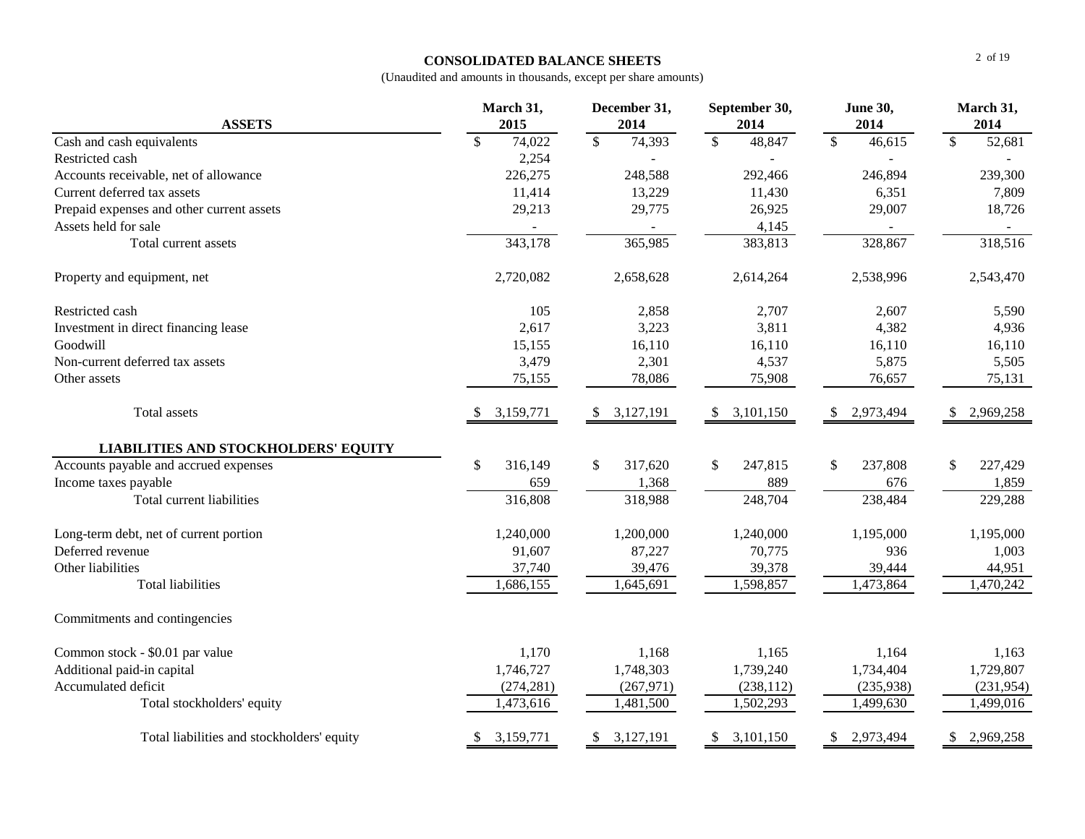## **CONSOLIDATED BALANCE SHEETS**

| <b>ASSETS</b>                               | March 31,<br>2015 |            |                          | December 31,<br>2014 |                          | September 30,<br>2014 |              | <b>June 30,</b><br>2014 |              | March 31,<br>2014 |
|---------------------------------------------|-------------------|------------|--------------------------|----------------------|--------------------------|-----------------------|--------------|-------------------------|--------------|-------------------|
| Cash and cash equivalents                   | \$                | 74,022     | $\overline{\mathcal{S}}$ | 74,393               | $\overline{\mathcal{S}}$ | 48,847                | $\mathbb{S}$ | 46,615                  | $\mathbb{S}$ | 52,681            |
| Restricted cash                             |                   | 2,254      |                          |                      |                          |                       |              |                         |              |                   |
| Accounts receivable, net of allowance       |                   | 226,275    |                          | 248,588              |                          | 292,466               |              | 246,894                 |              | 239,300           |
| Current deferred tax assets                 |                   | 11,414     |                          | 13,229               |                          | 11,430                |              | 6,351                   |              | 7,809             |
| Prepaid expenses and other current assets   |                   | 29,213     |                          | 29,775               |                          | 26,925                |              | 29,007                  |              | 18,726            |
| Assets held for sale                        |                   |            |                          |                      |                          | 4,145                 |              |                         |              |                   |
| Total current assets                        |                   | 343,178    |                          | 365,985              |                          | 383,813               |              | 328,867                 |              | 318,516           |
| Property and equipment, net                 |                   | 2,720,082  |                          | 2,658,628            |                          | 2,614,264             |              | 2,538,996               |              | 2,543,470         |
| Restricted cash                             |                   | 105        |                          | 2,858                |                          | 2,707                 |              | 2,607                   |              | 5,590             |
| Investment in direct financing lease        |                   | 2,617      |                          | 3,223                |                          | 3,811                 |              | 4,382                   |              | 4,936             |
| Goodwill                                    |                   | 15,155     |                          | 16,110               |                          | 16,110                |              | 16,110                  |              | 16,110            |
| Non-current deferred tax assets             |                   | 3,479      |                          | 2,301                |                          | 4,537                 |              | 5,875                   |              | 5,505             |
| Other assets                                |                   | 75,155     |                          | 78,086               |                          | 75,908                |              | 76,657                  |              | 75,131            |
| Total assets                                | S.                | 3,159,771  | \$                       | 3,127,191            | \$                       | 3,101,150             |              | 2,973,494               | S            | 2,969,258         |
| <b>LIABILITIES AND STOCKHOLDERS' EQUITY</b> |                   |            |                          |                      |                          |                       |              |                         |              |                   |
| Accounts payable and accrued expenses       | \$                | 316,149    | \$                       | 317,620              | \$                       | 247,815               | \$           | 237,808                 | $\mathbb{S}$ | 227,429           |
| Income taxes payable                        |                   | 659        |                          | 1,368                |                          | 889                   |              | 676                     |              | 1,859             |
| Total current liabilities                   |                   | 316,808    |                          | 318,988              |                          | 248,704               |              | 238,484                 |              | 229,288           |
| Long-term debt, net of current portion      |                   | 1,240,000  |                          | 1,200,000            |                          | 1,240,000             |              | 1,195,000               |              | 1,195,000         |
| Deferred revenue                            |                   | 91,607     |                          | 87,227               |                          | 70,775                |              | 936                     |              | 1,003             |
| Other liabilities                           |                   | 37,740     |                          | 39,476               |                          | 39,378                |              | 39,444                  |              | 44,951            |
| <b>Total liabilities</b>                    |                   | 1,686,155  |                          | 1,645,691            |                          | 1,598,857             |              | 1,473,864               |              | 1,470,242         |
| Commitments and contingencies               |                   |            |                          |                      |                          |                       |              |                         |              |                   |
| Common stock - \$0.01 par value             |                   | 1,170      |                          | 1,168                |                          | 1,165                 |              | 1,164                   |              | 1,163             |
| Additional paid-in capital                  |                   | 1,746,727  |                          | 1,748,303            |                          | 1,739,240             |              | 1,734,404               |              | 1,729,807         |
| Accumulated deficit                         |                   | (274, 281) |                          | (267, 971)           |                          | (238, 112)            |              | (235,938)               |              | (231, 954)        |
| Total stockholders' equity                  |                   | 1,473,616  |                          | 1,481,500            |                          | 1,502,293             |              | 1,499,630               |              | 1,499,016         |
| Total liabilities and stockholders' equity  | \$                | 3,159,771  | \$                       | 3,127,191            | $\mathbb{S}$             | 3,101,150             | \$           | 2,973,494               | \$           | 2,969,258         |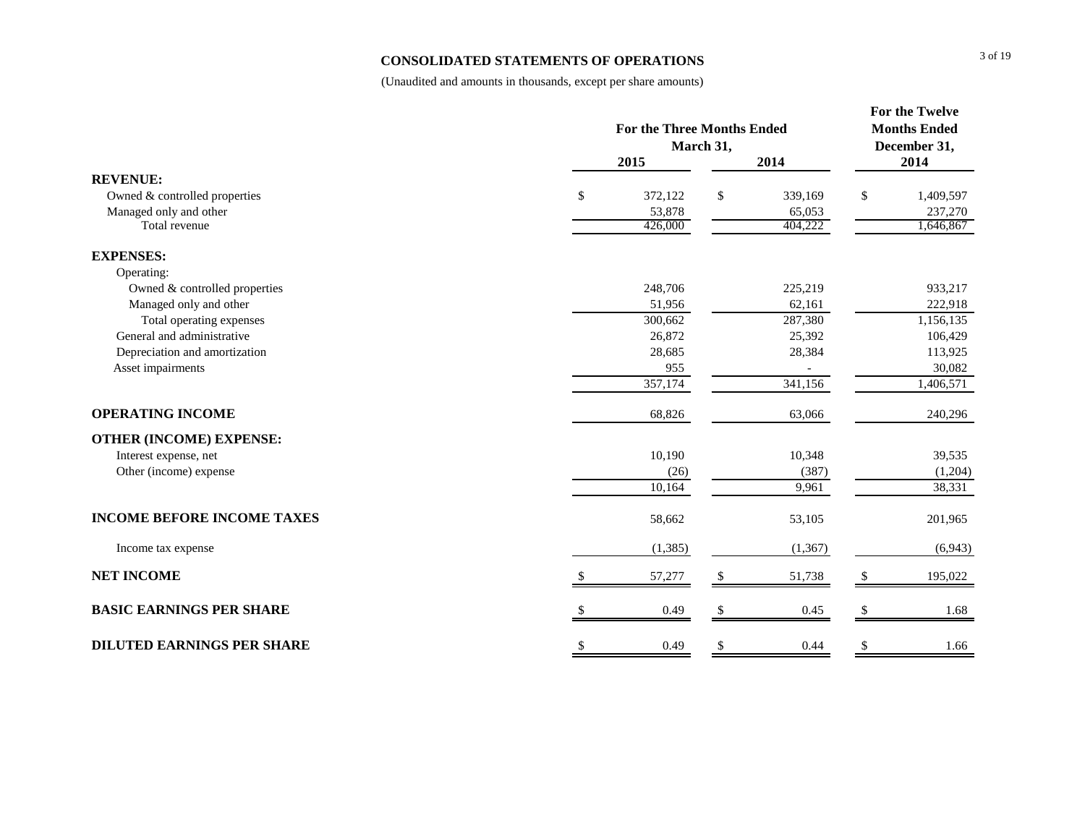## **CONSOLIDATED STATEMENTS OF OPERATIONS**

|                                   | <b>For the Three Months Ended</b><br>March 31,<br>2015<br>2014 |    |          |               |           |  |  |  |
|-----------------------------------|----------------------------------------------------------------|----|----------|---------------|-----------|--|--|--|
| <b>REVENUE:</b>                   |                                                                |    |          |               | 2014      |  |  |  |
| Owned & controlled properties     | \$<br>372,122                                                  | \$ | 339,169  | \$            | 1,409,597 |  |  |  |
| Managed only and other            | 53,878                                                         |    | 65,053   |               | 237,270   |  |  |  |
| Total revenue                     | 426,000                                                        |    | 404,222  |               | 1,646,867 |  |  |  |
| <b>EXPENSES:</b>                  |                                                                |    |          |               |           |  |  |  |
| Operating:                        |                                                                |    |          |               |           |  |  |  |
| Owned & controlled properties     | 248,706                                                        |    | 225,219  |               | 933,217   |  |  |  |
| Managed only and other            | 51,956                                                         |    | 62,161   |               | 222,918   |  |  |  |
| Total operating expenses          | 300,662                                                        |    | 287,380  |               | 1,156,135 |  |  |  |
| General and administrative        | 26,872                                                         |    | 25,392   |               | 106,429   |  |  |  |
| Depreciation and amortization     | 28,685                                                         |    | 28,384   |               | 113,925   |  |  |  |
| Asset impairments                 | 955                                                            |    |          |               | 30,082    |  |  |  |
|                                   | 357,174                                                        |    | 341,156  |               | 1,406,571 |  |  |  |
| <b>OPERATING INCOME</b>           | 68,826                                                         |    | 63,066   |               | 240,296   |  |  |  |
| <b>OTHER (INCOME) EXPENSE:</b>    |                                                                |    |          |               |           |  |  |  |
| Interest expense, net             | 10,190                                                         |    | 10,348   |               | 39,535    |  |  |  |
| Other (income) expense            | (26)                                                           |    | (387)    |               | (1,204)   |  |  |  |
|                                   | 10,164                                                         |    | 9,961    |               | 38,331    |  |  |  |
| <b>INCOME BEFORE INCOME TAXES</b> | 58,662                                                         |    | 53,105   |               | 201,965   |  |  |  |
| Income tax expense                | (1, 385)                                                       |    | (1, 367) |               | (6,943)   |  |  |  |
| <b>NET INCOME</b>                 | 57,277                                                         | -S | 51,738   | \$            | 195,022   |  |  |  |
| <b>BASIC EARNINGS PER SHARE</b>   | 0.49                                                           | \$ | 0.45     | <sup>\$</sup> | 1.68      |  |  |  |
| <b>DILUTED EARNINGS PER SHARE</b> | \$<br>0.49                                                     | \$ | 0.44     | \$            | 1.66      |  |  |  |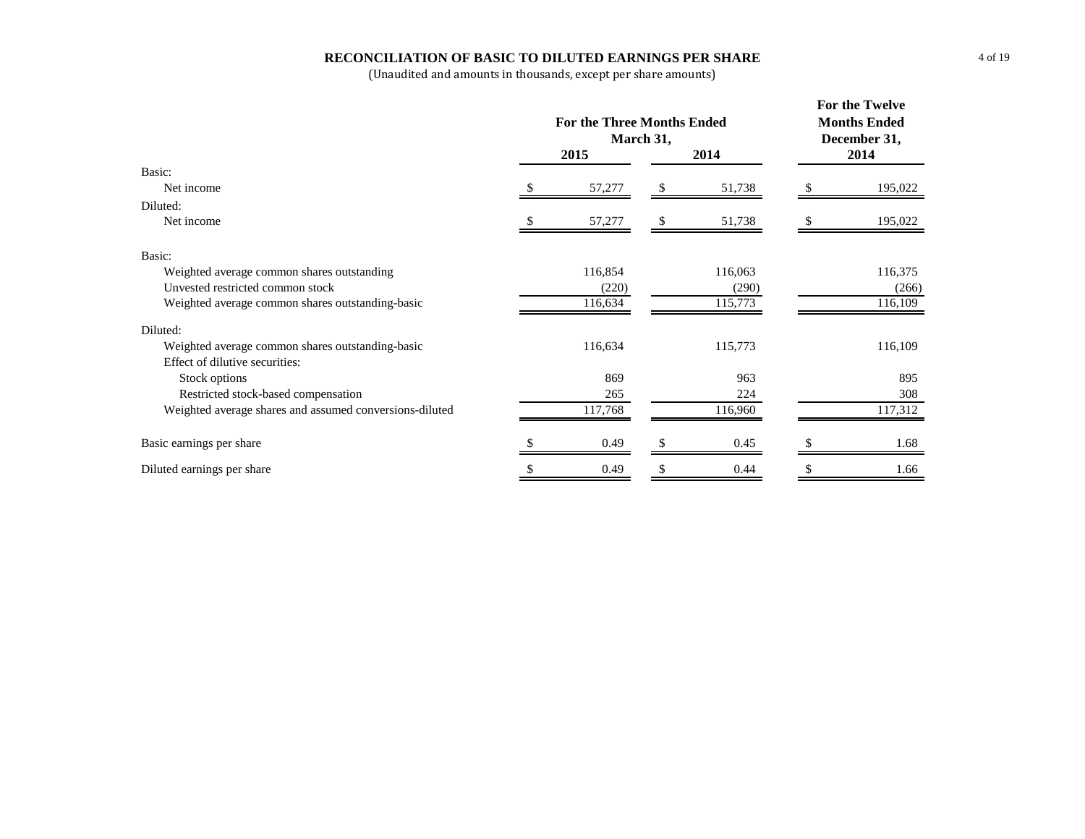## **RECONCILIATION OF BASIC TO DILUTED EARNINGS PER SHARE**

|                                                         |   | <b>For the Three Months Ended</b><br>March 31, |    | For the Twelve<br><b>Months Ended</b><br>December 31, |  |         |  |
|---------------------------------------------------------|---|------------------------------------------------|----|-------------------------------------------------------|--|---------|--|
|                                                         |   | 2015                                           |    | 2014                                                  |  | 2014    |  |
| Basic:                                                  |   |                                                |    |                                                       |  |         |  |
| Net income                                              |   | 57,277                                         |    | 51,738                                                |  | 195,022 |  |
| Diluted:                                                |   |                                                |    |                                                       |  |         |  |
| Net income                                              |   | 57,277                                         | S  | 51,738                                                |  | 195,022 |  |
| Basic:                                                  |   |                                                |    |                                                       |  |         |  |
| Weighted average common shares outstanding              |   | 116,854                                        |    | 116,063                                               |  | 116,375 |  |
| Unvested restricted common stock                        |   | (220)                                          |    | (290)                                                 |  | (266)   |  |
| Weighted average common shares outstanding-basic        |   | 116,634                                        |    | 115,773                                               |  | 116,109 |  |
| Diluted:                                                |   |                                                |    |                                                       |  |         |  |
| Weighted average common shares outstanding-basic        |   | 116,634                                        |    | 115,773                                               |  | 116,109 |  |
| Effect of dilutive securities:                          |   |                                                |    |                                                       |  |         |  |
| Stock options                                           |   | 869                                            |    | 963                                                   |  | 895     |  |
| Restricted stock-based compensation                     |   | 265                                            |    | 224                                                   |  | 308     |  |
| Weighted average shares and assumed conversions-diluted |   | 117,768                                        |    | 116,960                                               |  | 117,312 |  |
| Basic earnings per share                                |   | 0.49                                           |    | 0.45                                                  |  | 1.68    |  |
| Diluted earnings per share                              | S | 0.49                                           | \$ | 0.44                                                  |  | 1.66    |  |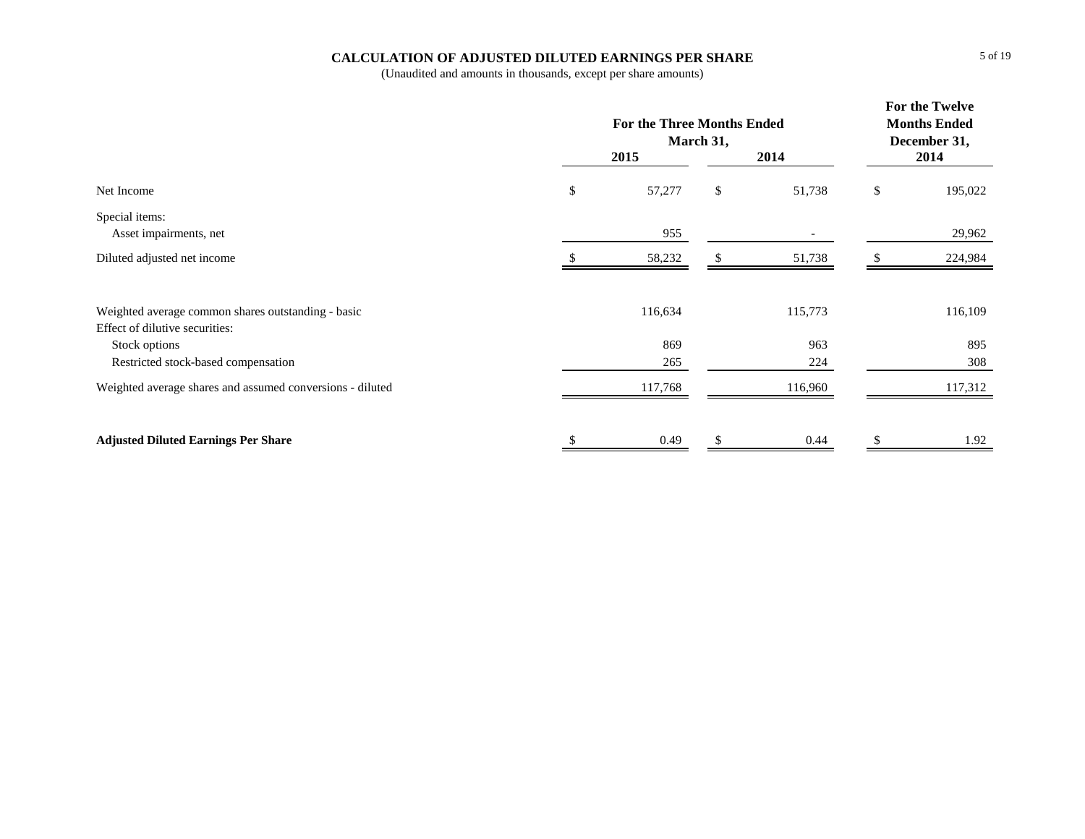## **CALCULATION OF ADJUSTED DILUTED EARNINGS PER SHARE**

|                                                           | <b>For the Three Months Ended</b> | March 31, |         | For the Twelve<br><b>Months Ended</b><br>December 31, |
|-----------------------------------------------------------|-----------------------------------|-----------|---------|-------------------------------------------------------|
|                                                           | 2015                              |           | 2014    | 2014                                                  |
| Net Income                                                | \$<br>57,277                      | \$        | 51,738  | \$<br>195,022                                         |
| Special items:                                            |                                   |           |         |                                                       |
| Asset impairments, net                                    | 955                               |           |         | 29,962                                                |
| Diluted adjusted net income                               | 58,232                            |           | 51,738  | 224,984                                               |
|                                                           |                                   |           |         |                                                       |
| Weighted average common shares outstanding - basic        | 116,634                           |           | 115,773 | 116,109                                               |
| Effect of dilutive securities:                            |                                   |           |         |                                                       |
| Stock options                                             | 869                               |           | 963     | 895                                                   |
| Restricted stock-based compensation                       | 265                               |           | 224     | 308                                                   |
| Weighted average shares and assumed conversions - diluted | 117,768                           |           | 116,960 | 117,312                                               |
| <b>Adjusted Diluted Earnings Per Share</b>                | 0.49                              |           | 0.44    | 1.92                                                  |
|                                                           |                                   |           |         |                                                       |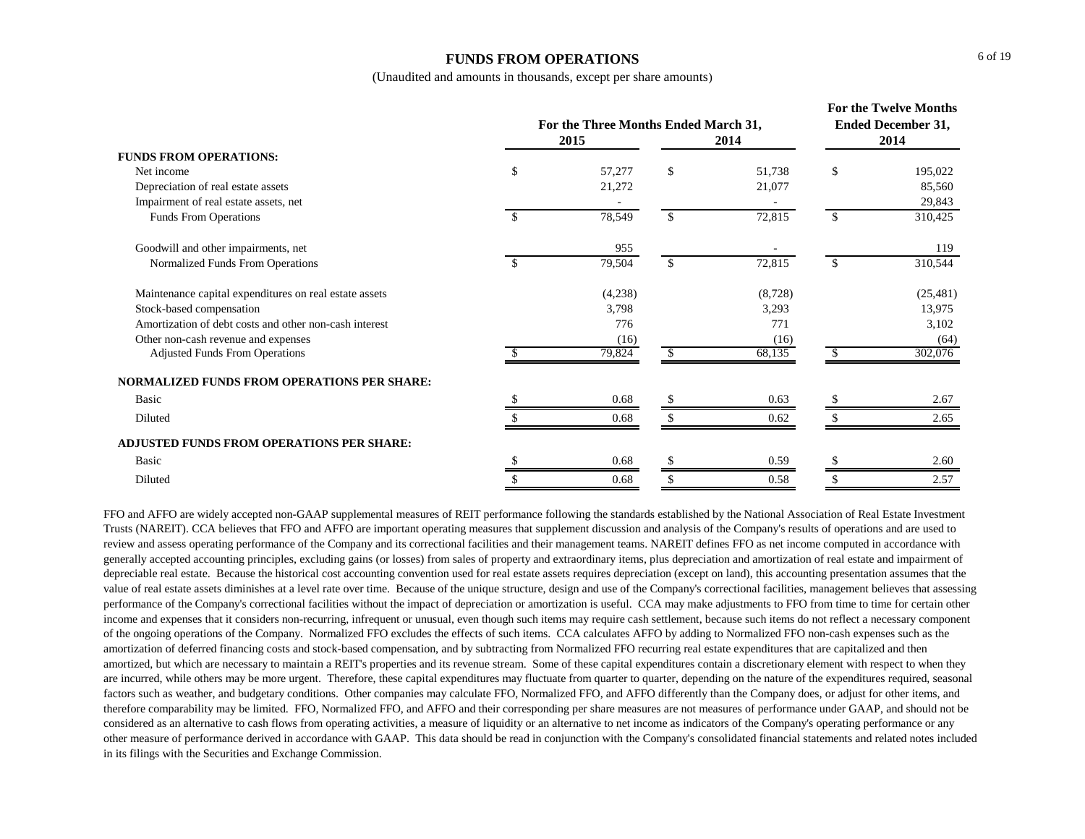#### **FUNDS FROM OPERATIONS**

(Unaudited and amounts in thousands, except per share amounts)

|                                                        |               |                                              | For the Twelve Months<br><b>Ended December 31,</b> |         |      |           |  |
|--------------------------------------------------------|---------------|----------------------------------------------|----------------------------------------------------|---------|------|-----------|--|
|                                                        |               | For the Three Months Ended March 31,<br>2015 |                                                    | 2014    | 2014 |           |  |
| <b>FUNDS FROM OPERATIONS:</b>                          |               |                                              |                                                    |         |      |           |  |
| Net income                                             | \$            | 57,277                                       | \$                                                 | 51,738  | \$   | 195,022   |  |
| Depreciation of real estate assets                     |               | 21,272                                       |                                                    | 21,077  |      | 85,560    |  |
| Impairment of real estate assets, net                  |               |                                              |                                                    |         |      | 29,843    |  |
| Funds From Operations                                  | <sup>\$</sup> | 78,549                                       | $\mathbf{s}$                                       | 72,815  | \$   | 310,425   |  |
| Goodwill and other impairments, net                    |               | 955                                          |                                                    |         |      | 119       |  |
| Normalized Funds From Operations                       | <sup>\$</sup> | 79,504                                       | \$                                                 | 72,815  | \$   | 310,544   |  |
| Maintenance capital expenditures on real estate assets |               | (4,238)                                      |                                                    | (8,728) |      | (25, 481) |  |
| Stock-based compensation                               |               | 3,798                                        |                                                    | 3,293   |      | 13,975    |  |
| Amortization of debt costs and other non-cash interest |               | 776                                          |                                                    | 771     |      | 3,102     |  |
| Other non-cash revenue and expenses                    |               | (16)                                         |                                                    | (16)    |      | (64)      |  |
| <b>Adjusted Funds From Operations</b>                  |               | 79,824                                       | <sup>\$</sup>                                      | 68,135  | -SS  | 302,076   |  |
| NORMALIZED FUNDS FROM OPERATIONS PER SHARE:            |               |                                              |                                                    |         |      |           |  |
| Basic                                                  |               | 0.68                                         |                                                    | 0.63    |      | 2.67      |  |
| Diluted                                                |               | 0.68                                         |                                                    | 0.62    |      | 2.65      |  |
| <b>ADJUSTED FUNDS FROM OPERATIONS PER SHARE:</b>       |               |                                              |                                                    |         |      |           |  |
| Basic                                                  |               | 0.68                                         |                                                    | 0.59    |      | 2.60      |  |
| Diluted                                                |               | 0.68                                         |                                                    | 0.58    |      | 2.57      |  |

FFO and AFFO are widely accepted non-GAAP supplemental measures of REIT performance following the standards established by the National Association of Real Estate Investment Trusts (NAREIT). CCA believes that FFO and AFFO are important operating measures that supplement discussion and analysis of the Company's results of operations and are used to review and assess operating performance of the Company and its correctional facilities and their management teams. NAREIT defines FFO as net income computed in accordance with generally accepted accounting principles, excluding gains (or losses) from sales of property and extraordinary items, plus depreciation and amortization of real estate and impairment of depreciable real estate. Because the historical cost accounting convention used for real estate assets requires depreciation (except on land), this accounting presentation assumes that the value of real estate assets diminishes at a level rate over time. Because of the unique structure, design and use of the Company's correctional facilities, management believes that assessing performance of the Company's correctional facilities without the impact of depreciation or amortization is useful. CCA may make adjustments to FFO from time to time for certain other income and expenses that it considers non-recurring, infrequent or unusual, even though such items may require cash settlement, because such items do not reflect a necessary component of the ongoing operations of the Company. Normalized FFO excludes the effects of such items. CCA calculates AFFO by adding to Normalized FFO non-cash expenses such as the amortization of deferred financing costs and stock-based compensation, and by subtracting from Normalized FFO recurring real estate expenditures that are capitalized and then amortized, but which are necessary to maintain a REIT's properties and its revenue stream. Some of these capital expenditures contain a discretionary element with respect to when they are incurred, while others may be more urgent. Therefore, these capital expenditures may fluctuate from quarter to quarter, depending on the nature of the expenditures required, seasonal factors such as weather, and budgetary conditions. Other companies may calculate FFO, Normalized FFO, and AFFO differently than the Company does, or adjust for other items, and therefore comparability may be limited. FFO, Normalized FFO, and AFFO and their corresponding per share measures are not measures of performance under GAAP, and should not be considered as an alternative to cash flows from operating activities, a measure of liquidity or an alternative to net income as indicators of the Company's operating performance or any other measure of performance derived in accordance with GAAP. This data should be read in conjunction with the Company's consolidated financial statements and related notes included in its filings with the Securities and Exchange Commission.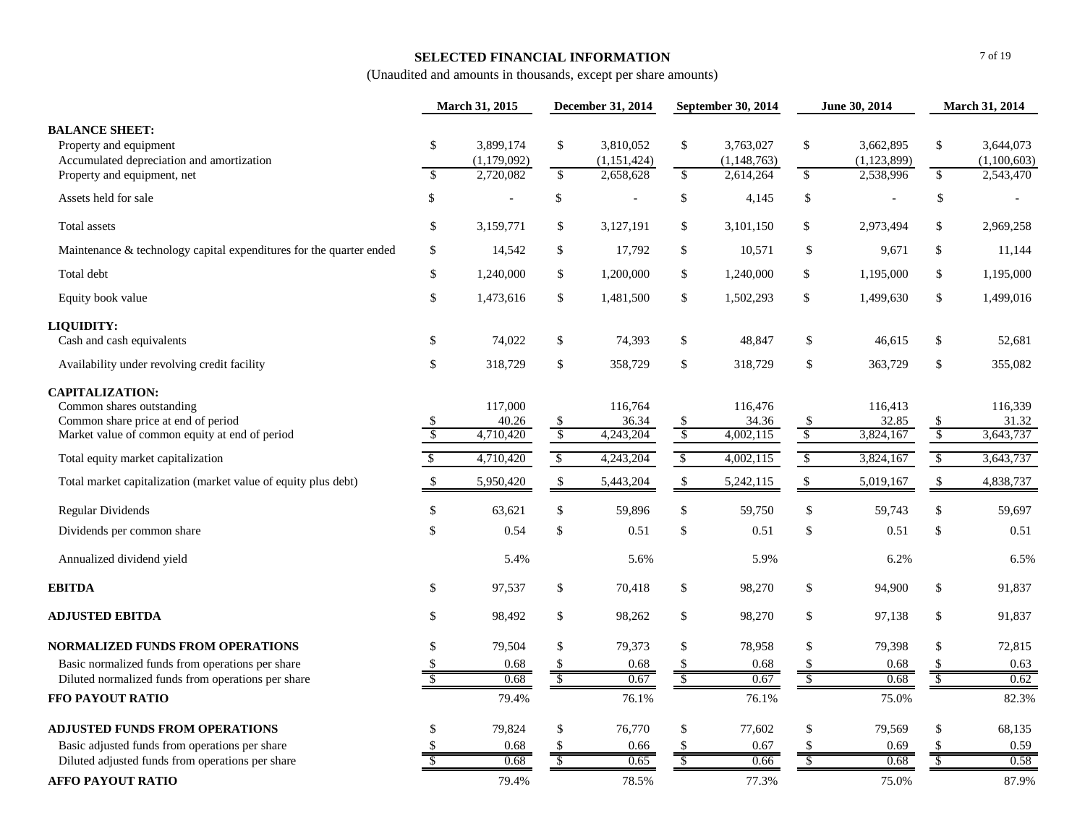## **SELECTED FINANCIAL INFORMATION**

|                                                                                                                                              | March 31, 2015           |                               | December 31, 2014             |                               |                          | September 30, 2014            | June 30, 2014            |                               |                          | March 31, 2014                |
|----------------------------------------------------------------------------------------------------------------------------------------------|--------------------------|-------------------------------|-------------------------------|-------------------------------|--------------------------|-------------------------------|--------------------------|-------------------------------|--------------------------|-------------------------------|
| <b>BALANCE SHEET:</b><br>Property and equipment<br>Accumulated depreciation and amortization                                                 | \$                       | 3,899,174<br>(1,179,092)      | $\mathbb{S}$                  | 3,810,052<br>(1,151,424)      | \$                       | 3,763,027<br>(1, 148, 763)    | \$                       | 3,662,895<br>(1, 123, 899)    | \$                       | 3,644,073<br>(1,100,603)      |
| Property and equipment, net                                                                                                                  | $\mathcal{S}$            | 2,720,082                     | $\mathbb{S}$                  | 2,658,628                     | $\mathbb{S}$             | 2,614,264                     | $\mathbb{S}$             | 2,538,996                     | $\mathbb{S}$             | 2,543,470                     |
| Assets held for sale                                                                                                                         | \$                       |                               | \$                            | $\overline{a}$                | \$                       | 4,145                         | \$                       |                               | \$                       |                               |
| Total assets                                                                                                                                 | \$                       | 3,159,771                     | $\mathbb{S}$                  | 3,127,191                     | \$                       | 3,101,150                     | \$                       | 2,973,494                     | \$                       | 2,969,258                     |
| Maintenance & technology capital expenditures for the quarter ended                                                                          | \$                       | 14,542                        | $\$$                          | 17,792                        | \$                       | 10,571                        | \$                       | 9,671                         | \$                       | 11,144                        |
| Total debt                                                                                                                                   | \$                       | 1,240,000                     | $\mathbb{S}$                  | 1,200,000                     | \$                       | 1,240,000                     | \$                       | 1,195,000                     | \$                       | 1,195,000                     |
| Equity book value                                                                                                                            | \$                       | 1,473,616                     | $\$$                          | 1,481,500                     | \$                       | 1,502,293                     | \$                       | 1,499,630                     | \$                       | 1,499,016                     |
| <b>LIQUIDITY:</b>                                                                                                                            |                          |                               |                               |                               |                          |                               |                          |                               |                          |                               |
| Cash and cash equivalents                                                                                                                    | \$                       | 74,022                        | \$                            | 74,393                        | \$                       | 48,847                        | \$                       | 46,615                        | \$                       | 52,681                        |
| Availability under revolving credit facility                                                                                                 | \$                       | 318,729                       | \$                            | 358,729                       | \$                       | 318,729                       | \$                       | 363,729                       | \$                       | 355,082                       |
| <b>CAPITALIZATION:</b><br>Common shares outstanding<br>Common share price at end of period<br>Market value of common equity at end of period | -S<br>$\mathcal{S}$      | 117,000<br>40.26<br>4,710,420 | \$<br>$\sqrt[6]{\frac{1}{2}}$ | 116,764<br>36.34<br>4,243,204 | \$<br>$\sqrt$            | 116,476<br>34.36<br>4,002,115 | $\frac{\sqrt{3}}{2}$     | 116,413<br>32.85<br>3,824,167 | \$<br>$\mathcal{S}$      | 116,339<br>31.32<br>3,643,737 |
| Total equity market capitalization                                                                                                           | $\sqrt{3}$               | 4,710,420                     | $\sqrt[6]{\frac{1}{2}}$       | 4,243,204                     | $\sqrt[6]{\frac{1}{2}}$  | 4,002,115                     | $\sqrt[6]{\frac{1}{2}}$  | 3,824,167                     | \$                       | 3,643,737                     |
| Total market capitalization (market value of equity plus debt)                                                                               | \$                       | 5,950,420                     | \$                            | 5,443,204                     | \$                       | 5,242,115                     | \$                       | 5,019,167                     | \$                       | 4,838,737                     |
| <b>Regular Dividends</b>                                                                                                                     | \$                       | 63,621                        | $\mathcal{S}$                 | 59,896                        | \$                       | 59,750                        | \$                       | 59,743                        | \$                       | 59,697                        |
| Dividends per common share                                                                                                                   | \$                       | 0.54                          | \$                            | 0.51                          | \$                       | 0.51                          | \$                       | 0.51                          | \$                       | 0.51                          |
| Annualized dividend yield                                                                                                                    |                          | 5.4%                          |                               | 5.6%                          |                          | 5.9%                          |                          | 6.2%                          |                          | 6.5%                          |
| <b>EBITDA</b>                                                                                                                                | \$                       | 97,537                        | $\$\,$                        | 70,418                        | \$                       | 98,270                        | \$                       | 94,900                        | \$                       | 91,837                        |
| <b>ADJUSTED EBITDA</b>                                                                                                                       | \$                       | 98,492                        | $\$\,$                        | 98,262                        | \$                       | 98,270                        | \$                       | 97,138                        | \$                       | 91,837                        |
| <b>NORMALIZED FUNDS FROM OPERATIONS</b>                                                                                                      | \$                       | 79,504                        | \$                            | 79,373                        | \$                       | 78,958                        | \$                       | 79,398                        | \$                       | 72,815                        |
| Basic normalized funds from operations per share                                                                                             | S                        | 0.68                          | -S                            | 0.68                          | \$                       | 0.68                          | \$                       | 0.68                          | \$                       | 0.63                          |
| Diluted normalized funds from operations per share                                                                                           | $\overline{\mathcal{S}}$ | 0.68                          | $\mathcal{S}$                 | 0.67                          | $\overline{\mathcal{S}}$ | 0.67                          | $\overline{\mathcal{S}}$ | 0.68                          | $\overline{\mathcal{S}}$ | 0.62                          |
| FFO PAYOUT RATIO                                                                                                                             |                          | 79.4%                         |                               | 76.1%                         |                          | 76.1%                         |                          | 75.0%                         |                          | 82.3%                         |
| <b>ADJUSTED FUNDS FROM OPERATIONS</b>                                                                                                        | \$                       | 79,824                        | \$                            | 76,770                        | \$                       | 77,602                        | \$                       | 79,569                        | \$                       | 68,135                        |
| Basic adjusted funds from operations per share                                                                                               |                          | 0.68                          |                               | 0.66                          | \$                       | 0.67                          |                          | 0.69                          |                          | 0.59                          |
| Diluted adjusted funds from operations per share                                                                                             |                          | 0.68                          |                               | 0.65                          | S                        | 0.66                          | $\overline{\mathcal{S}}$ | 0.68                          | -S                       | 0.58                          |
| <b>AFFO PAYOUT RATIO</b>                                                                                                                     |                          | 79.4%                         |                               | 78.5%                         |                          | 77.3%                         |                          | 75.0%                         |                          | 87.9%                         |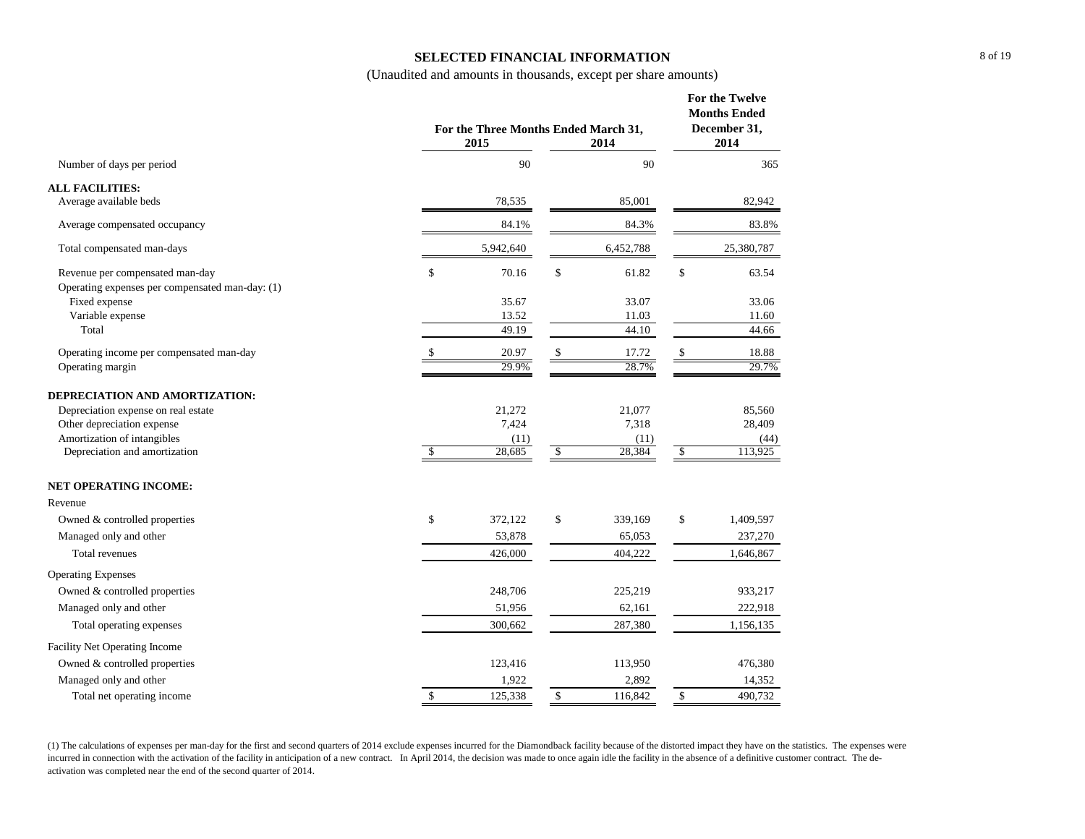## **SELECTED FINANCIAL INFORMATION**

(Unaudited and amounts in thousands, except per share amounts)

|                                                                  | For the Three Months Ended March 31, | For the Twelve<br><b>Months Ended</b><br>December 31,<br>2014 |               |           |            |            |
|------------------------------------------------------------------|--------------------------------------|---------------------------------------------------------------|---------------|-----------|------------|------------|
| Number of days per period                                        |                                      | 90                                                            |               | 90        |            | 365        |
| <b>ALL FACILITIES:</b>                                           |                                      |                                                               |               |           |            |            |
| Average available beds                                           |                                      | 78,535                                                        |               | 85,001    |            | 82,942     |
| Average compensated occupancy                                    |                                      | 84.1%                                                         |               | 84.3%     |            | 83.8%      |
| Total compensated man-days                                       |                                      | 5,942,640                                                     |               | 6,452,788 |            | 25,380,787 |
| Revenue per compensated man-day                                  | \$                                   | 70.16                                                         | \$            | 61.82     | \$         | 63.54      |
| Operating expenses per compensated man-day: (1)<br>Fixed expense |                                      | 35.67                                                         |               | 33.07     |            | 33.06      |
| Variable expense                                                 |                                      | 13.52                                                         |               | 11.03     |            | 11.60      |
| Total                                                            |                                      | 49.19                                                         |               | 44.10     |            | 44.66      |
| Operating income per compensated man-day                         |                                      | 20.97                                                         | \$            | 17.72     | \$         | 18.88      |
| Operating margin                                                 |                                      | 29.9%                                                         |               | 28.7%     |            | 29.7%      |
| DEPRECIATION AND AMORTIZATION:                                   |                                      |                                                               |               |           |            |            |
| Depreciation expense on real estate                              |                                      | 21,272                                                        |               | 21,077    |            | 85,560     |
| Other depreciation expense                                       |                                      | 7,424                                                         |               | 7,318     |            | 28,409     |
| Amortization of intangibles                                      |                                      | (11)                                                          |               | (11)      |            | (44)       |
| Depreciation and amortization                                    | $\sqrt{3}$                           | 28,685                                                        | $\mathcal{S}$ | 28,384    | $\sqrt{3}$ | 113,925    |
| <b>NET OPERATING INCOME:</b>                                     |                                      |                                                               |               |           |            |            |
| Revenue                                                          |                                      |                                                               |               |           |            |            |
| Owned & controlled properties                                    | \$                                   | 372,122                                                       | \$            | 339,169   | \$         | 1,409,597  |
| Managed only and other                                           |                                      | 53,878                                                        |               | 65,053    |            | 237,270    |
| Total revenues                                                   |                                      | 426,000                                                       |               | 404,222   |            | 1,646,867  |
| <b>Operating Expenses</b>                                        |                                      |                                                               |               |           |            |            |
| Owned & controlled properties                                    |                                      | 248,706                                                       |               | 225,219   |            | 933,217    |
| Managed only and other                                           |                                      | 51,956                                                        |               | 62,161    |            | 222,918    |
| Total operating expenses                                         |                                      | 300,662                                                       |               | 287,380   |            | 1,156,135  |
| Facility Net Operating Income                                    |                                      |                                                               |               |           |            |            |
| Owned & controlled properties                                    |                                      | 123,416                                                       |               | 113,950   |            | 476,380    |
| Managed only and other                                           |                                      | 1,922                                                         |               | 2,892     |            | 14,352     |
| Total net operating income                                       | \$                                   | 125,338                                                       | \$            | 116,842   | \$         | 490,732    |

(1) The calculations of expenses per man-day for the first and second quarters of 2014 exclude expenses incurred for the Diamondback facility because of the distorted impact they have on the statistics. The expenses were incurred in connection with the activation of the facility in anticipation of a new contract. In April 2014, the decision was made to once again idle the facility in the absence of a definitive customer contract. The deactivation was completed near the end of the second quarter of 2014.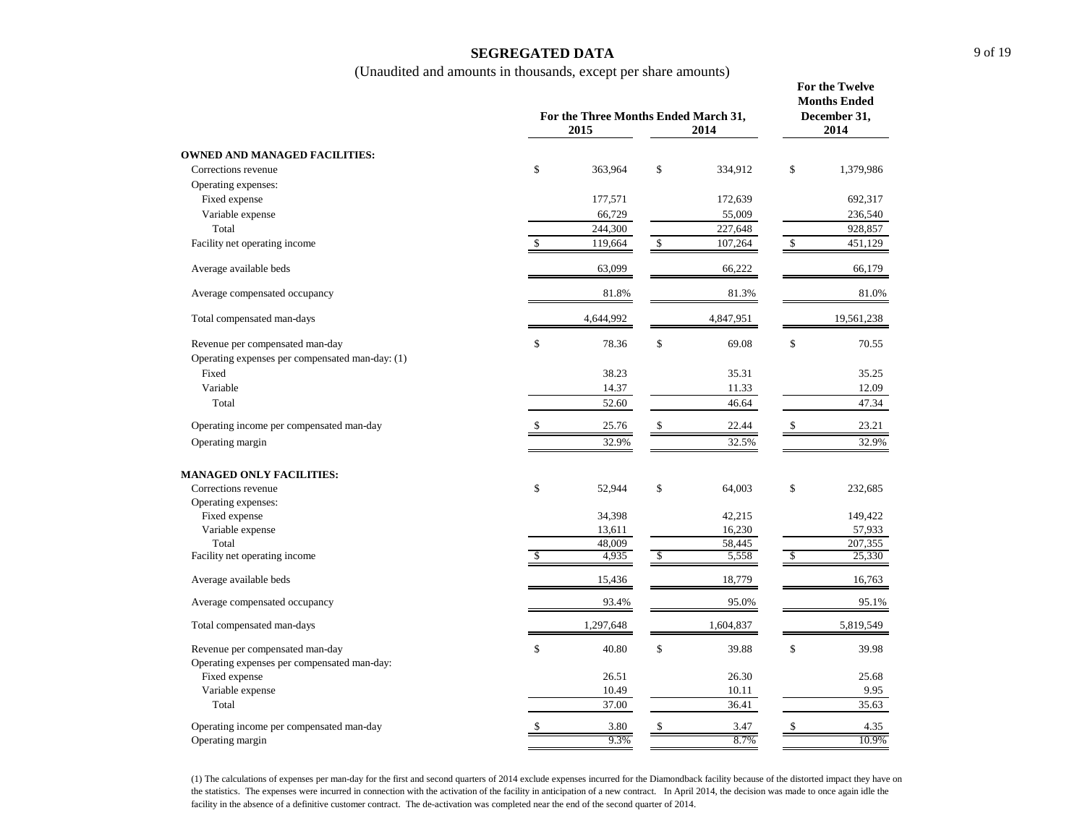## **SEGREGATED DATA**

(Unaudited and amounts in thousands, except per share amounts)

|                                                 |              | For the Three Months Ended March 31,<br>2015<br>2014 |    |           |    |            |  |
|-------------------------------------------------|--------------|------------------------------------------------------|----|-----------|----|------------|--|
| <b>OWNED AND MANAGED FACILITIES:</b>            |              |                                                      |    |           |    |            |  |
| Corrections revenue                             | \$           | 363,964                                              | \$ | 334,912   | \$ | 1,379,986  |  |
| Operating expenses:                             |              |                                                      |    |           |    |            |  |
| Fixed expense                                   |              | 177,571                                              |    | 172,639   |    | 692,317    |  |
| Variable expense                                |              | 66,729                                               |    | 55,009    |    | 236,540    |  |
| Total                                           |              | 244,300                                              |    | 227,648   |    | 928,857    |  |
| Facility net operating income                   | \$           | 119,664                                              | \$ | 107,264   | \$ | 451,129    |  |
| Average available beds                          |              | 63,099                                               |    | 66,222    |    | 66,179     |  |
| Average compensated occupancy                   |              | 81.8%                                                |    | 81.3%     |    | 81.0%      |  |
| Total compensated man-days                      |              | 4,644,992                                            |    | 4,847,951 |    | 19,561,238 |  |
| Revenue per compensated man-day                 | \$           | 78.36                                                | \$ | 69.08     | \$ | 70.55      |  |
| Operating expenses per compensated man-day: (1) |              |                                                      |    |           |    |            |  |
| Fixed                                           |              | 38.23                                                |    | 35.31     |    | 35.25      |  |
| Variable                                        |              | 14.37                                                |    | 11.33     |    | 12.09      |  |
| Total                                           |              | 52.60                                                |    | 46.64     |    | 47.34      |  |
| Operating income per compensated man-day        |              | 25.76                                                | \$ | 22.44     | \$ | 23.21      |  |
| Operating margin                                |              | 32.9%                                                |    | 32.5%     |    | 32.9%      |  |
| <b>MANAGED ONLY FACILITIES:</b>                 |              |                                                      |    |           |    |            |  |
| Corrections revenue                             | \$           | 52,944                                               | \$ | 64,003    | \$ | 232,685    |  |
| Operating expenses:                             |              |                                                      |    |           |    |            |  |
| Fixed expense                                   |              | 34,398                                               |    | 42,215    |    | 149,422    |  |
| Variable expense                                |              | 13,611                                               |    | 16,230    |    | 57,933     |  |
| Total                                           |              | 48,009                                               |    | 58,445    |    | 207,355    |  |
| Facility net operating income                   | $\mathbb{S}$ | 4,935                                                | \$ | 5,558     | \$ | 25,330     |  |
| Average available beds                          |              | 15,436                                               |    | 18,779    |    | 16,763     |  |
| Average compensated occupancy                   |              | 93.4%                                                |    | 95.0%     |    | 95.1%      |  |
| Total compensated man-days                      |              | 1,297,648                                            |    | 1,604,837 |    | 5,819,549  |  |
| Revenue per compensated man-day                 | \$           | 40.80                                                | \$ | 39.88     | \$ | 39.98      |  |
| Operating expenses per compensated man-day:     |              |                                                      |    |           |    |            |  |
| Fixed expense                                   |              | 26.51                                                |    | 26.30     |    | 25.68      |  |
| Variable expense                                |              | 10.49                                                |    | 10.11     |    | 9.95       |  |
| Total                                           |              | 37.00                                                |    | 36.41     |    | 35.63      |  |
| Operating income per compensated man-day        | \$           | 3.80                                                 | \$ | 3.47      | \$ | 4.35       |  |
| Operating margin                                |              | 9.3%                                                 |    | 8.7%      |    | 10.9%      |  |

(1) The calculations of expenses per man-day for the first and second quarters of 2014 exclude expenses incurred for the Diamondback facility because of the distorted impact they have on the statistics. The expenses were incurred in connection with the activation of the facility in anticipation of a new contract. In April 2014, the decision was made to once again idle the facility in the absence of a definitive customer contract. The de-activation was completed near the end of the second quarter of 2014.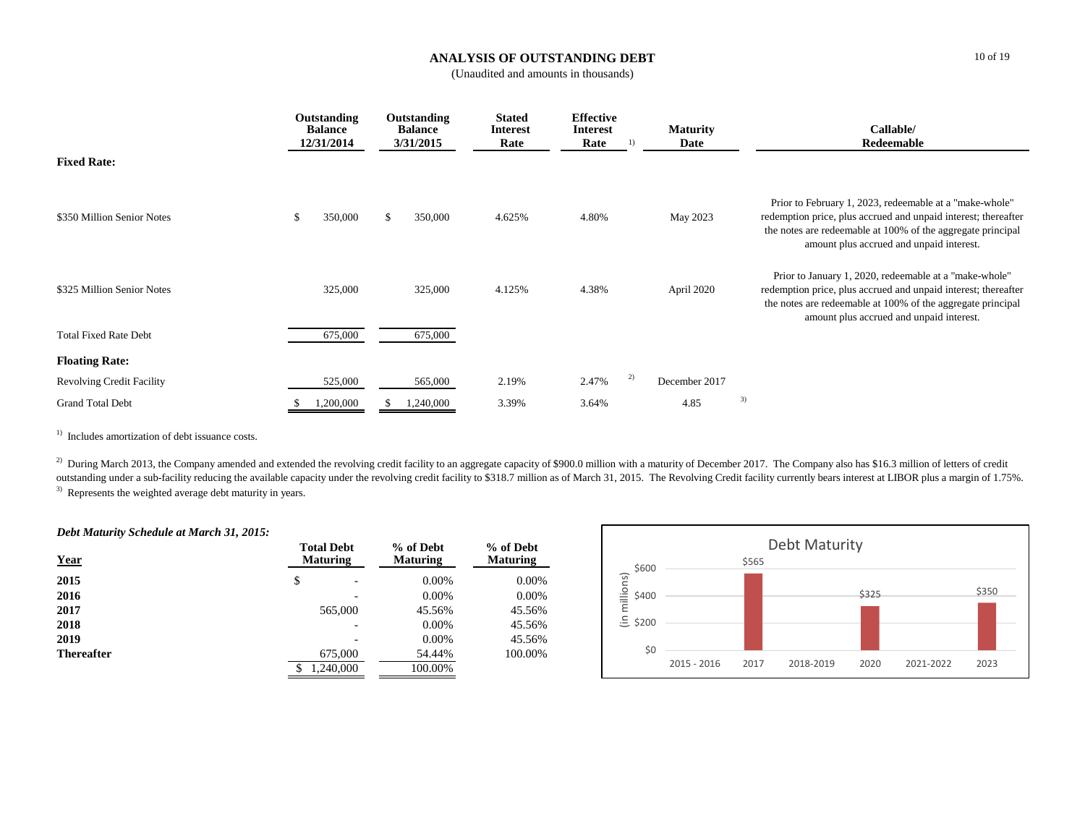## **ANALYSIS OF OUTSTANDING DEBT**

(Unaudited and amounts in thousands)

|                                  | Outstanding<br><b>Balance</b><br>12/31/2014 |     | Outstanding<br><b>Balance</b><br>3/31/2015 | <b>Stated</b><br><b>Interest</b><br>Rate | <b>Effective</b><br><b>Interest</b><br>Rate |    | <b>Maturity</b><br>Date |    | Callable/<br>Redeemable                                                                                                                                                                                                              |
|----------------------------------|---------------------------------------------|-----|--------------------------------------------|------------------------------------------|---------------------------------------------|----|-------------------------|----|--------------------------------------------------------------------------------------------------------------------------------------------------------------------------------------------------------------------------------------|
| <b>Fixed Rate:</b>               |                                             |     |                                            |                                          |                                             |    |                         |    |                                                                                                                                                                                                                                      |
| \$350 Million Senior Notes       | \$<br>350,000                               | \$. | 350,000                                    | 4.625%                                   | 4.80%                                       |    | May 2023                |    | Prior to February 1, 2023, redeemable at a "make-whole"<br>redemption price, plus accrued and unpaid interest; thereafter<br>the notes are redeemable at 100% of the aggregate principal<br>amount plus accrued and unpaid interest. |
| \$325 Million Senior Notes       | 325,000                                     |     | 325,000                                    | 4.125%                                   | 4.38%                                       |    | April 2020              |    | Prior to January 1, 2020, redeemable at a "make-whole"<br>redemption price, plus accrued and unpaid interest; thereafter<br>the notes are redeemable at 100% of the aggregate principal<br>amount plus accrued and unpaid interest.  |
| <b>Total Fixed Rate Debt</b>     | 675,000                                     |     | 675,000                                    |                                          |                                             |    |                         |    |                                                                                                                                                                                                                                      |
| <b>Floating Rate:</b>            |                                             |     |                                            |                                          |                                             |    |                         |    |                                                                                                                                                                                                                                      |
| <b>Revolving Credit Facility</b> | 525,000                                     |     | 565,000                                    | 2.19%                                    | 2.47%                                       | 2) | December 2017           |    |                                                                                                                                                                                                                                      |
| <b>Grand Total Debt</b>          | 1,200,000                                   |     | 1,240,000                                  | 3.39%                                    | 3.64%                                       |    | 4.85                    | 3) |                                                                                                                                                                                                                                      |

<sup>1)</sup> Includes amortization of debt issuance costs.

<sup>3)</sup> Represents the weighted average debt maturity in years. <sup>2)</sup> During March 2013, the Company amended and extended the revolving credit facility to an aggregate capacity of \$900.0 million with a maturity of December 2017. The Company also has \$16.3 million of letters of credit outstanding under a sub-facility reducing the available capacity under the revolving credit facility to \$318.7 million as of March 31, 2015. The Revolving Credit facility currently bears interest at LIBOR plus a margin of

#### *Debt Maturity Schedule at March 31, 2015:*

| <b>Year</b>       | <b>Total Debt</b><br><b>Maturing</b> | % of Debt<br><b>Maturing</b> | % of Debt<br><b>Maturing</b> |  |
|-------------------|--------------------------------------|------------------------------|------------------------------|--|
| 2015              | \$<br>۰                              | $0.00\%$                     | $0.00\%$                     |  |
| 2016              |                                      | $0.00\%$                     | 0.00%                        |  |
| 2017              | 565,000                              | 45.56%                       | 45.56%                       |  |
| 2018              |                                      | $0.00\%$                     | 45.56%                       |  |
| 2019              |                                      | $0.00\%$                     | 45.56%                       |  |
| <b>Thereafter</b> | 675,000                              | 54.44%                       | 100.00%                      |  |
|                   | 1,240,000                            | 100.00%                      |                              |  |

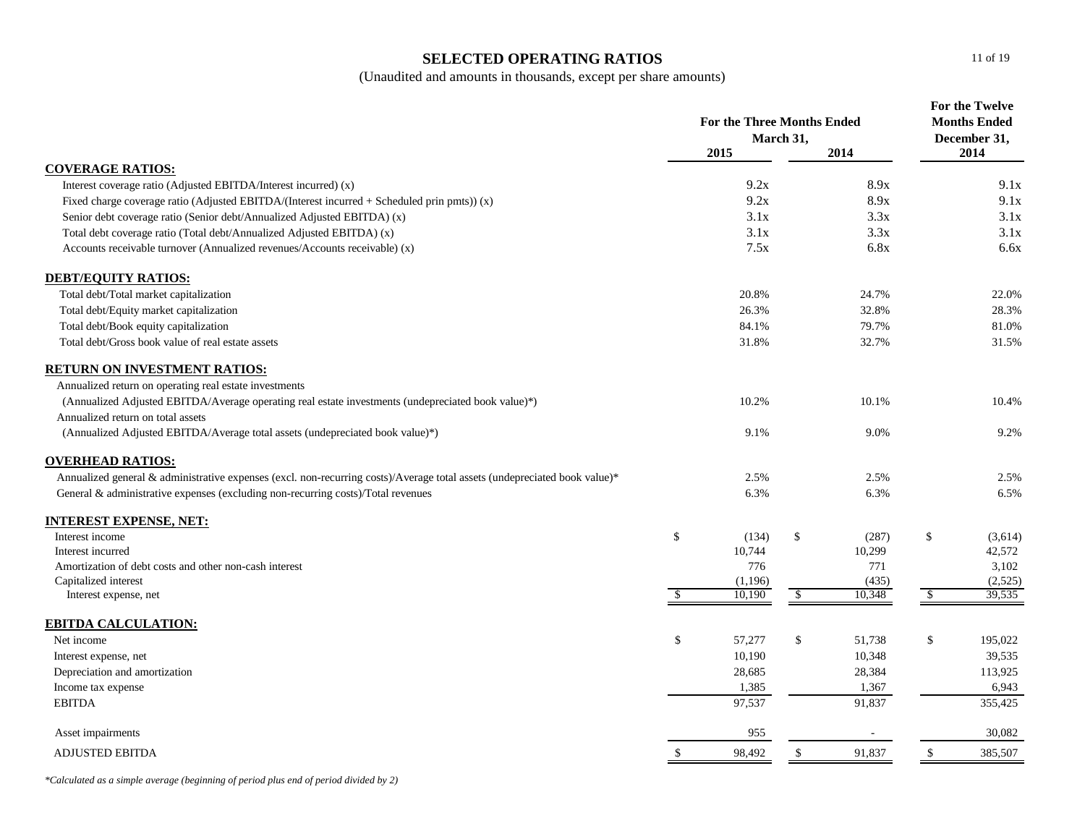## **SELECTED OPERATING RATIOS**

(Unaudited and amounts in thousands, except per share amounts)

|                                                                                                                           | <b>For the Three Months Ended</b><br>March 31, |                   | For the Twelve<br><b>Months Ended</b><br>December 31, |               |                   |
|---------------------------------------------------------------------------------------------------------------------------|------------------------------------------------|-------------------|-------------------------------------------------------|---------------|-------------------|
|                                                                                                                           |                                                | 2015              | 2014                                                  |               | 2014              |
| <b>COVERAGE RATIOS:</b>                                                                                                   |                                                |                   |                                                       |               |                   |
| Interest coverage ratio (Adjusted EBITDA/Interest incurred) (x)                                                           |                                                | 9.2x              | 8.9x                                                  |               | 9.1x              |
| Fixed charge coverage ratio (Adjusted EBITDA/(Interest incurred + Scheduled prin pmts)) (x)                               |                                                | 9.2x              | 8.9x                                                  |               | 9.1x              |
| Senior debt coverage ratio (Senior debt/Annualized Adjusted EBITDA) (x)                                                   |                                                | 3.1x              | 3.3x                                                  |               | 3.1x              |
| Total debt coverage ratio (Total debt/Annualized Adjusted EBITDA) (x)                                                     |                                                | 3.1x              | 3.3x                                                  |               | 3.1x              |
| Accounts receivable turnover (Annualized revenues/Accounts receivable) (x)                                                |                                                | 7.5x              | 6.8x                                                  |               | 6.6x              |
| <b>DEBT/EQUITY RATIOS:</b>                                                                                                |                                                |                   |                                                       |               |                   |
| Total debt/Total market capitalization                                                                                    |                                                | 20.8%             | 24.7%                                                 |               | 22.0%             |
| Total debt/Equity market capitalization                                                                                   |                                                | 26.3%             | 32.8%                                                 |               | 28.3%             |
| Total debt/Book equity capitalization                                                                                     |                                                | 84.1%             | 79.7%                                                 |               | 81.0%             |
| Total debt/Gross book value of real estate assets                                                                         |                                                | 31.8%             | 32.7%                                                 |               | 31.5%             |
| RETURN ON INVESTMENT RATIOS:                                                                                              |                                                |                   |                                                       |               |                   |
| Annualized return on operating real estate investments                                                                    |                                                |                   |                                                       |               |                   |
| (Annualized Adjusted EBITDA/Average operating real estate investments (undepreciated book value)*)                        |                                                | 10.2%             | 10.1%                                                 |               | 10.4%             |
| Annualized return on total assets                                                                                         |                                                |                   |                                                       |               |                   |
| (Annualized Adjusted EBITDA/Average total assets (undepreciated book value)*)                                             |                                                | 9.1%              | 9.0%                                                  |               | 9.2%              |
| <b>OVERHEAD RATIOS:</b>                                                                                                   |                                                |                   |                                                       |               |                   |
| Annualized general & administrative expenses (excl. non-recurring costs)/Average total assets (undepreciated book value)* |                                                | 2.5%              | 2.5%                                                  |               | 2.5%              |
| General & administrative expenses (excluding non-recurring costs)/Total revenues                                          |                                                | 6.3%              | 6.3%                                                  |               | 6.5%              |
| <b>INTEREST EXPENSE, NET:</b>                                                                                             |                                                |                   |                                                       |               |                   |
| Interest income                                                                                                           | \$                                             | (134)             | \$<br>(287)                                           | \$            | (3,614)           |
| Interest incurred                                                                                                         |                                                | 10,744            | 10,299                                                |               | 42,572            |
| Amortization of debt costs and other non-cash interest                                                                    |                                                | 776               | 771                                                   |               | 3,102             |
| Capitalized interest                                                                                                      |                                                | (1,196)<br>10,190 | (435)<br>10,348                                       |               | (2,525)<br>39,535 |
| Interest expense, net                                                                                                     | $\mathbb{S}$                                   |                   | \$                                                    | \$            |                   |
| <b>EBITDA CALCULATION:</b>                                                                                                |                                                |                   |                                                       |               |                   |
| Net income                                                                                                                | $\mathbb{S}$                                   | 57,277            | \$<br>51,738                                          | $\mathcal{L}$ | 195,022           |
| Interest expense, net                                                                                                     |                                                | 10,190            | 10,348                                                |               | 39,535            |
| Depreciation and amortization                                                                                             |                                                | 28,685            | 28,384                                                |               | 113,925           |
| Income tax expense                                                                                                        |                                                | 1,385             | 1,367                                                 |               | 6,943             |
| <b>EBITDA</b>                                                                                                             |                                                | 97,537            | 91,837                                                |               | 355,425           |
| Asset impairments                                                                                                         |                                                | 955               |                                                       |               | 30,082            |
| <b>ADJUSTED EBITDA</b>                                                                                                    | <sup>\$</sup>                                  | 98,492            | \$<br>91,837                                          | $\mathcal{L}$ | 385,507           |
|                                                                                                                           |                                                |                   |                                                       |               |                   |

*\*Calculated as a simple average (beginning of period plus end of period divided by 2)*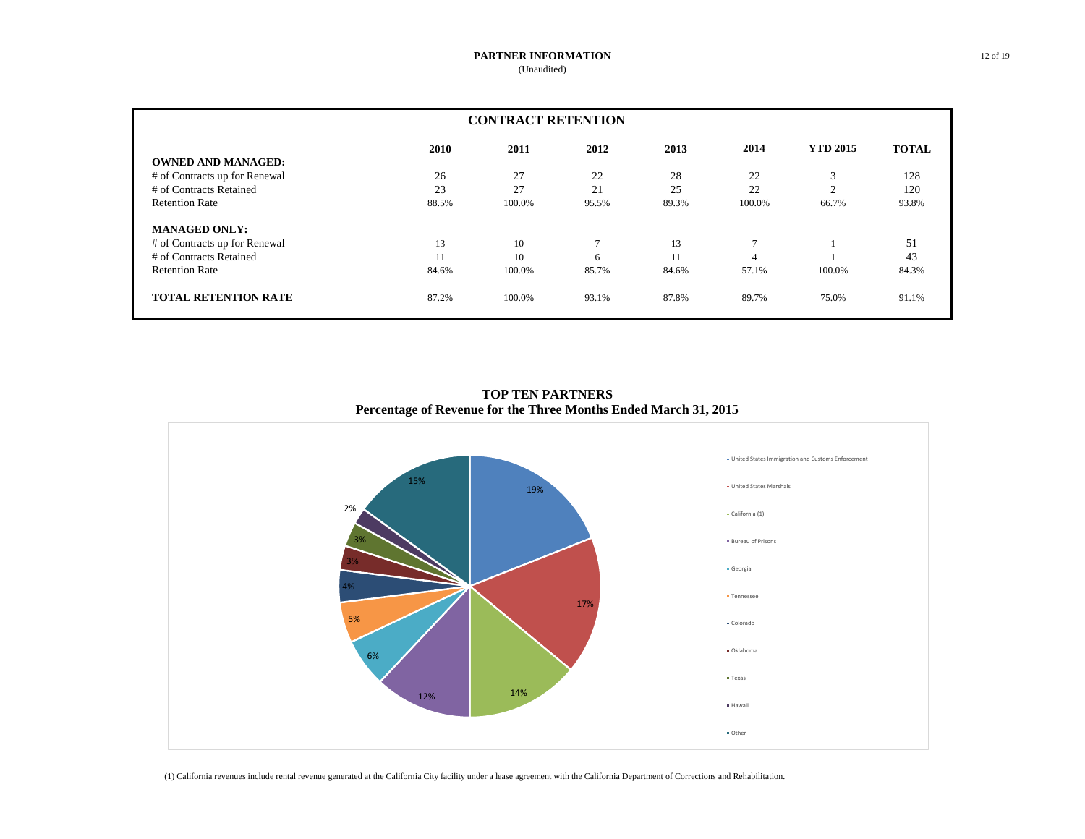#### **PARTNER INFORMATION** (Unaudited)

| <b>CONTRACT RETENTION</b>     |       |        |                |       |                |                 |              |  |
|-------------------------------|-------|--------|----------------|-------|----------------|-----------------|--------------|--|
|                               | 2010  | 2011   | 2012           | 2013  | 2014           | <b>YTD 2015</b> | <b>TOTAL</b> |  |
| <b>OWNED AND MANAGED:</b>     |       |        |                |       |                |                 |              |  |
| # of Contracts up for Renewal | 26    | 27     | 22             | 28    | 22             | 3               | 128          |  |
| # of Contracts Retained       | 23    | 27     | 21             | 25    | 22             | $\sim$          | 120          |  |
| <b>Retention Rate</b>         | 88.5% | 100.0% | 95.5%          | 89.3% | 100.0%         | 66.7%           | 93.8%        |  |
| <b>MANAGED ONLY:</b>          |       |        |                |       |                |                 |              |  |
| # of Contracts up for Renewal | 13    | 10     | $\overline{ }$ | 13    | $\overline{7}$ |                 | 51           |  |
| # of Contracts Retained       | 11    | 10     | 6              | 11    | 4              |                 | 43           |  |
| <b>Retention Rate</b>         | 84.6% | 100.0% | 85.7%          | 84.6% | 57.1%          | 100.0%          | 84.3%        |  |
| <b>TOTAL RETENTION RATE</b>   | 87.2% | 100.0% | 93.1%          | 87.8% | 89.7%          | 75.0%           | 91.1%        |  |

**TOP TEN PARTNERS Percentage of Revenue for the Three Months Ended March 31, 2015**



(1) California revenues include rental revenue generated at the California City facility under a lease agreement with the California Department of Corrections and Rehabilitation.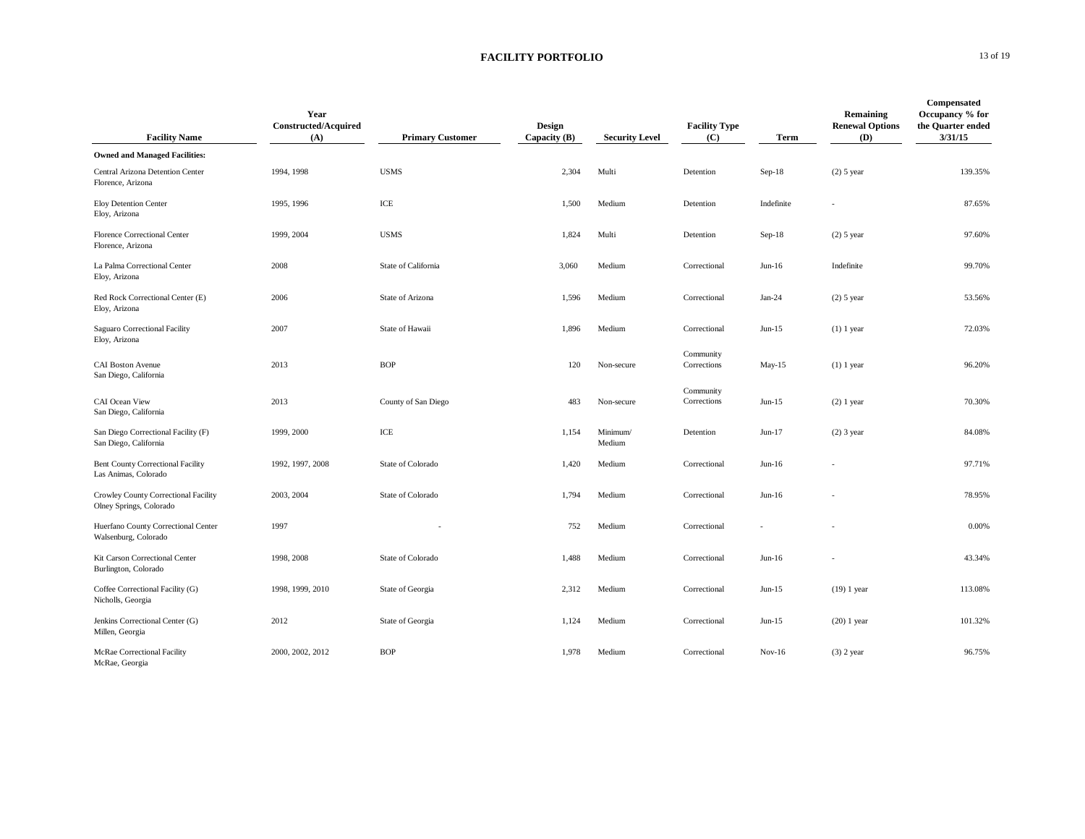#### **FACILITY PORTFOLIO** 13 of 19

| <b>Facility Name</b>                                             | Year<br><b>Constructed/Acquired</b><br>(A) | <b>Primary Customer</b> | Design<br>Capacity $(B)$ | <b>Security Level</b> | <b>Facility Type</b><br>(C) | Term       | Remaining<br><b>Renewal Options</b><br>(D) | Compensated<br>Occupancy % for<br>the Quarter ended<br>3/31/15 |
|------------------------------------------------------------------|--------------------------------------------|-------------------------|--------------------------|-----------------------|-----------------------------|------------|--------------------------------------------|----------------------------------------------------------------|
| <b>Owned and Managed Facilities:</b>                             |                                            |                         |                          |                       |                             |            |                                            |                                                                |
| Central Arizona Detention Center<br>Florence, Arizona            | 1994, 1998                                 | <b>USMS</b>             | 2,304                    | Multi                 | Detention                   | $Sep-18$   | $(2)$ 5 year                               | 139.35%                                                        |
| Eloy Detention Center<br>Eloy, Arizona                           | 1995, 1996                                 | ICE                     | 1,500                    | Medium                | Detention                   | Indefinite |                                            | 87.65%                                                         |
| Florence Correctional Center<br>Florence, Arizona                | 1999, 2004                                 | <b>USMS</b>             | 1,824                    | Multi                 | Detention                   | $Sep-18$   | $(2)$ 5 year                               | 97.60%                                                         |
| La Palma Correctional Center<br>Eloy, Arizona                    | 2008                                       | State of California     | 3,060                    | Medium                | Correctional                | $Jun-16$   | Indefinite                                 | 99.70%                                                         |
| Red Rock Correctional Center (E)<br>Eloy, Arizona                | 2006                                       | State of Arizona        | 1,596                    | Medium                | Correctional                | $Jan-24$   | $(2)$ 5 year                               | 53.56%                                                         |
| Saguaro Correctional Facility<br>Eloy, Arizona                   | 2007                                       | State of Hawaii         | 1,896                    | Medium                | Correctional                | $Jun-15$   | $(1)$ 1 year                               | 72.03%                                                         |
| <b>CAI Boston Avenue</b><br>San Diego, California                | 2013                                       | <b>BOP</b>              | 120                      | Non-secure            | Community<br>Corrections    | May-15     | $(1)$ 1 year                               | 96.20%                                                         |
| CAI Ocean View<br>San Diego, California                          | 2013                                       | County of San Diego     | 483                      | Non-secure            | Community<br>Corrections    | $Jun-15$   | $(2)$ 1 year                               | 70.30%                                                         |
| San Diego Correctional Facility (F)<br>San Diego, California     | 1999, 2000                                 | ICE                     | 1,154                    | Minimum/<br>Medium    | Detention                   | $Jun-17$   | $(2)$ 3 year                               | 84.08%                                                         |
| <b>Bent County Correctional Facility</b><br>Las Animas, Colorado | 1992, 1997, 2008                           | State of Colorado       | 1,420                    | Medium                | Correctional                | $Jun-16$   |                                            | 97.71%                                                         |
| Crowley County Correctional Facility<br>Olney Springs, Colorado  | 2003, 2004                                 | State of Colorado       | 1,794                    | Medium                | Correctional                | $Jun-16$   |                                            | 78.95%                                                         |
| Huerfano County Correctional Center<br>Walsenburg, Colorado      | 1997                                       |                         | 752                      | Medium                | Correctional                |            |                                            | 0.00%                                                          |
| Kit Carson Correctional Center<br>Burlington, Colorado           | 1998, 2008                                 | State of Colorado       | 1,488                    | Medium                | Correctional                | $Jun-16$   |                                            | 43.34%                                                         |
| Coffee Correctional Facility (G)<br>Nicholls, Georgia            | 1998, 1999, 2010                           | State of Georgia        | 2,312                    | Medium                | Correctional                | $Jun-15$   | $(19)$ 1 year                              | 113.08%                                                        |
| Jenkins Correctional Center (G)<br>Millen, Georgia               | 2012                                       | State of Georgia        | 1,124                    | Medium                | Correctional                | $Jun-15$   | $(20)$ 1 year                              | 101.32%                                                        |
| McRae Correctional Facility<br>McRae, Georgia                    | 2000, 2002, 2012                           | <b>BOP</b>              | 1,978                    | Medium                | Correctional                | $Nov-16$   | $(3)$ 2 year                               | 96.75%                                                         |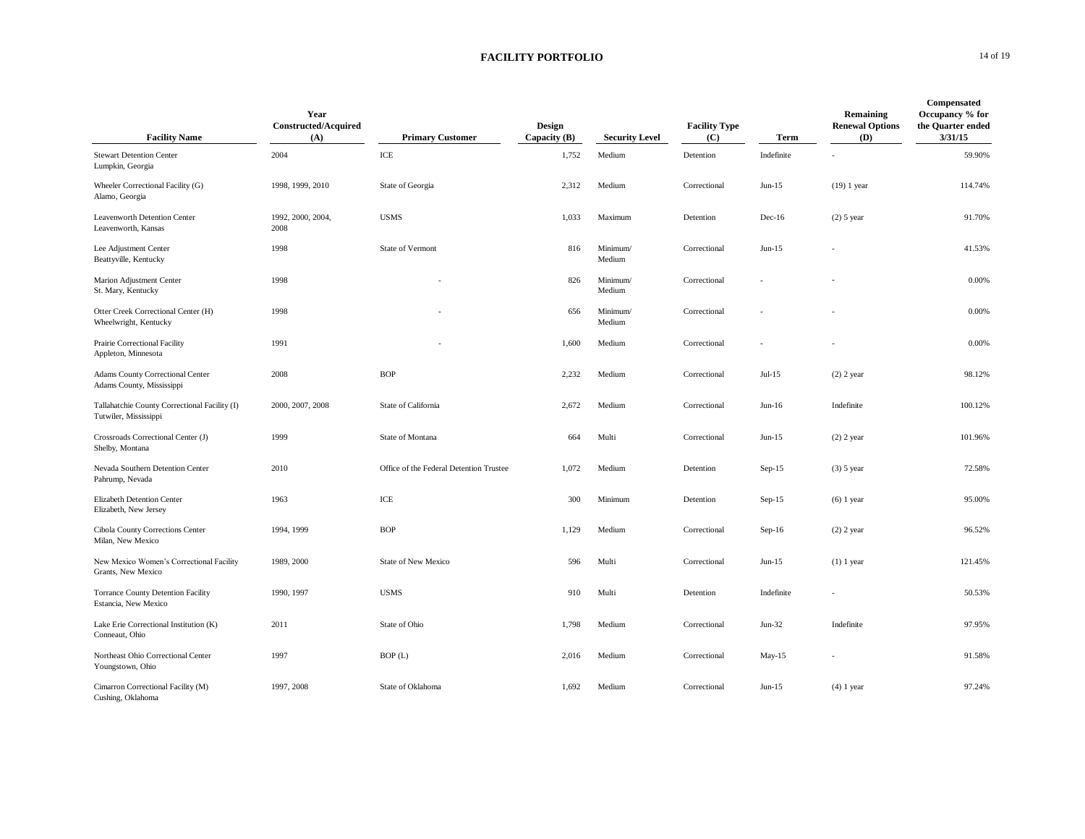#### **FACILITY PORTFOLIO** 14 of 19

| <b>Facility Name</b>                                                   | Year<br>Constructed/Acquired<br>(A) | <b>Primary Customer</b>                 | <b>Design</b><br>Capacity $(B)$ | <b>Security Level</b> | <b>Facility Type</b><br>(C) | Term       | Remaining<br><b>Renewal Options</b><br>(D) | Compensated<br>Occupancy % for<br>the Quarter ended<br>3/31/15 |
|------------------------------------------------------------------------|-------------------------------------|-----------------------------------------|---------------------------------|-----------------------|-----------------------------|------------|--------------------------------------------|----------------------------------------------------------------|
| <b>Stewart Detention Center</b><br>Lumpkin, Georgia                    | 2004                                | $\ensuremath{\textup{\textbf{ICE}}}$    | 1,752                           | Medium                | Detention                   | Indefinite |                                            | 59.90%                                                         |
| Wheeler Correctional Facility (G)<br>Alamo, Georgia                    | 1998, 1999, 2010                    | State of Georgia                        | 2,312                           | Medium                | Correctional                | $Jun-15$   | $(19)$ 1 year                              | 114.74%                                                        |
| Leavenworth Detention Center<br>Leavenworth, Kansas                    | 1992, 2000, 2004,<br>2008           | <b>USMS</b>                             | 1,033                           | Maximum               | Detention                   | $Dec-16$   | $(2)$ 5 year                               | 91.70%                                                         |
| Lee Adjustment Center<br>Beattyville, Kentucky                         | 1998                                | State of Vermont                        | 816                             | Minimum/<br>Medium    | Correctional                | $Jun-15$   |                                            | 41.53%                                                         |
| Marion Adjustment Center<br>St. Mary, Kentucky                         | 1998                                |                                         | 826                             | Minimum/<br>Medium    | Correctional                |            |                                            | 0.00%                                                          |
| Otter Creek Correctional Center (H)<br>Wheelwright, Kentucky           | 1998                                |                                         | 656                             | Minimum/<br>Medium    | Correctional                |            |                                            | 0.00%                                                          |
| Prairie Correctional Facility<br>Appleton, Minnesota                   | 1991                                |                                         | 1,600                           | Medium                | Correctional                |            |                                            | 0.00%                                                          |
| <b>Adams County Correctional Center</b><br>Adams County, Mississippi   | 2008                                | <b>BOP</b>                              | 2,232                           | Medium                | Correctional                | $Jul-15$   | $(2)$ 2 year                               | 98.12%                                                         |
| Tallahatchie County Correctional Facility (I)<br>Tutwiler, Mississippi | 2000, 2007, 2008                    | State of California                     | 2,672                           | Medium                | Correctional                | $Jun-16$   | Indefinite                                 | 100.12%                                                        |
| Crossroads Correctional Center (J)<br>Shelby, Montana                  | 1999                                | State of Montana                        | 664                             | Multi                 | Correctional                | $Jun-15$   | $(2)$ 2 year                               | 101.96%                                                        |
| Nevada Southern Detention Center<br>Pahrump, Nevada                    | 2010                                | Office of the Federal Detention Trustee | 1,072                           | Medium                | Detention                   | $Sep-15$   | $(3)$ 5 year                               | 72.58%                                                         |
| Elizabeth Detention Center<br>Elizabeth, New Jersey                    | 1963                                | $\ensuremath{\textup{\textbf{ICE}}}$    | 300                             | Minimum               | Detention                   | $Sep-15$   | $(6)$ 1 year                               | 95.00%                                                         |
| Cibola County Corrections Center<br>Milan, New Mexico                  | 1994, 1999                          | <b>BOP</b>                              | 1,129                           | Medium                | Correctional                | $Sep-16$   | $(2)$ 2 year                               | 96.52%                                                         |
| New Mexico Women's Correctional Facility<br>Grants, New Mexico         | 1989, 2000                          | <b>State of New Mexico</b>              | 596                             | Multi                 | Correctional                | $Jun-15$   | $(1)$ 1 year                               | 121.45%                                                        |
| <b>Torrance County Detention Facility</b><br>Estancia, New Mexico      | 1990, 1997                          | <b>USMS</b>                             | 910                             | Multi                 | Detention                   | Indefinite |                                            | 50.53%                                                         |
| Lake Erie Correctional Institution (K)<br>Conneaut. Ohio               | 2011                                | State of Ohio                           | 1,798                           | Medium                | Correctional                | $Jun-32$   | Indefinite                                 | 97.95%                                                         |
| Northeast Ohio Correctional Center<br>Youngstown, Ohio                 | 1997                                | BOP(L)                                  | 2,016                           | Medium                | Correctional                | May-15     |                                            | 91.58%                                                         |
| Cimarron Correctional Facility (M)<br>Cushing, Oklahoma                | 1997, 2008                          | State of Oklahoma                       | 1,692                           | Medium                | Correctional                | $Jun-15$   | $(4)$ 1 year                               | 97.24%                                                         |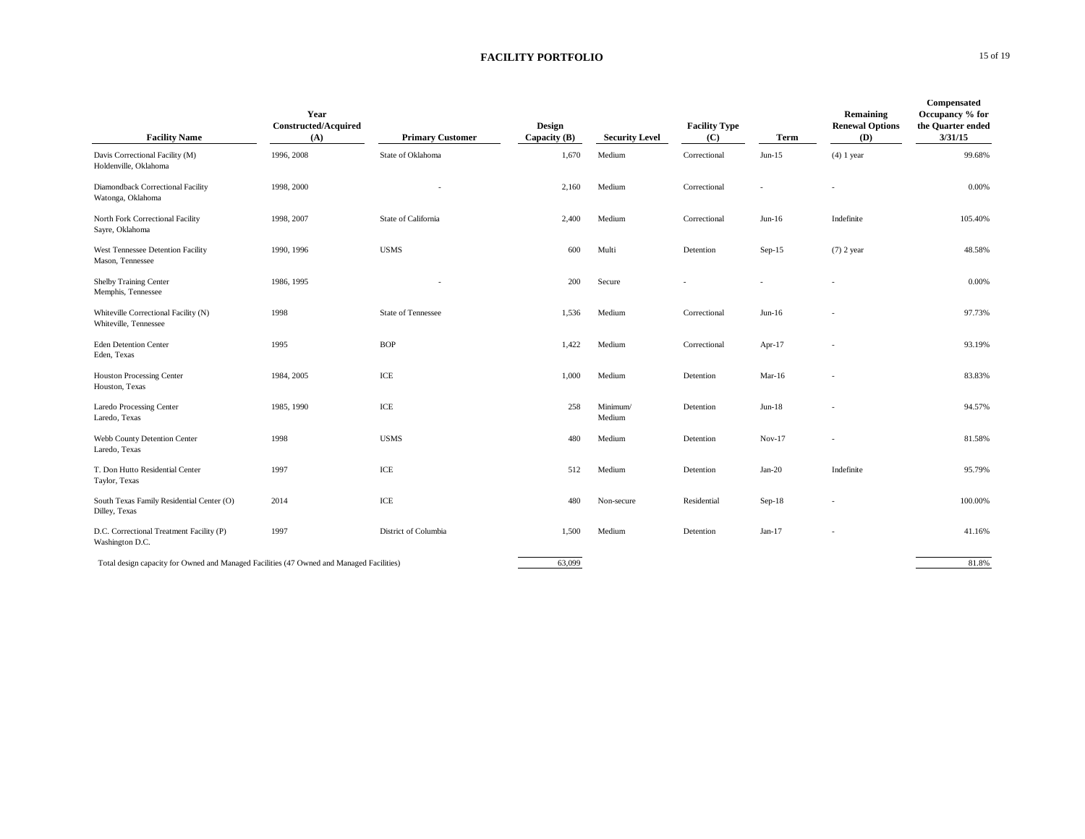### **FACILITY PORTFOLIO** 15 of 19

| <b>Facility Name</b>                                                                     | Year<br><b>Constructed/Acquired</b><br>(A) | <b>Primary Customer</b> | <b>Design</b><br>Capacity $(B)$ | <b>Security Level</b> | <b>Facility Type</b><br>(C) | Term      | Remaining<br><b>Renewal Options</b><br>(D) | Compensated<br>Occupancy % for<br>the Quarter ended<br>3/31/15 |
|------------------------------------------------------------------------------------------|--------------------------------------------|-------------------------|---------------------------------|-----------------------|-----------------------------|-----------|--------------------------------------------|----------------------------------------------------------------|
| Davis Correctional Facility (M)<br>Holdenville, Oklahoma                                 | 1996, 2008                                 | State of Oklahoma       | 1,670                           | Medium                | Correctional                | $Jun-15$  | $(4)$ 1 year                               | 99.68%                                                         |
| Diamondback Correctional Facility<br>Watonga, Oklahoma                                   | 1998, 2000                                 |                         | 2,160                           | Medium                | Correctional                |           |                                            | 0.00%                                                          |
| North Fork Correctional Facility<br>Sayre, Oklahoma                                      | 1998, 2007                                 | State of California     | 2,400                           | Medium                | Correctional                | $Jun-16$  | Indefinite                                 | 105.40%                                                        |
| West Tennessee Detention Facility<br>Mason, Tennessee                                    | 1990, 1996                                 | <b>USMS</b>             | 600                             | Multi                 | Detention                   | $Sep-15$  | $(7)$ 2 year                               | 48.58%                                                         |
| Shelby Training Center<br>Memphis, Tennessee                                             | 1986, 1995                                 |                         | 200                             | Secure                |                             |           |                                            | 0.00%                                                          |
| Whiteville Correctional Facility (N)<br>Whiteville, Tennessee                            | 1998                                       | State of Tennessee      | 1,536                           | Medium                | Correctional                | $Jun-16$  |                                            | 97.73%                                                         |
| <b>Eden Detention Center</b><br>Eden, Texas                                              | 1995                                       | <b>BOP</b>              | 1,422                           | Medium                | Correctional                | Apr- $17$ |                                            | 93.19%                                                         |
| <b>Houston Processing Center</b><br>Houston, Texas                                       | 1984, 2005                                 | ICE                     | 1,000                           | Medium                | Detention                   | Mar-16    |                                            | 83.83%                                                         |
| <b>Laredo Processing Center</b><br>Laredo, Texas                                         | 1985, 1990                                 | ICE                     | 258                             | Minimum/<br>Medium    | Detention                   | $Jun-18$  |                                            | 94.57%                                                         |
| Webb County Detention Center<br>Laredo, Texas                                            | 1998                                       | <b>USMS</b>             | 480                             | Medium                | Detention                   | $Nov-17$  |                                            | 81.58%                                                         |
| T. Don Hutto Residential Center<br>Taylor, Texas                                         | 1997                                       | ICE                     | 512                             | Medium                | Detention                   | $Jan-20$  | Indefinite                                 | 95.79%                                                         |
| South Texas Family Residential Center (O)<br>Dilley, Texas                               | 2014                                       | ICE                     | 480                             | Non-secure            | Residential                 | Sep-18    |                                            | 100.00%                                                        |
| D.C. Correctional Treatment Facility (P)<br>Washington D.C.                              | 1997                                       | District of Columbia    | 1,500                           | Medium                | Detention                   | $Jan-17$  |                                            | 41.16%                                                         |
| Total design capacity for Owned and Managed Facilities (47 Owned and Managed Facilities) |                                            |                         | 63,099                          |                       |                             |           |                                            | 81.8%                                                          |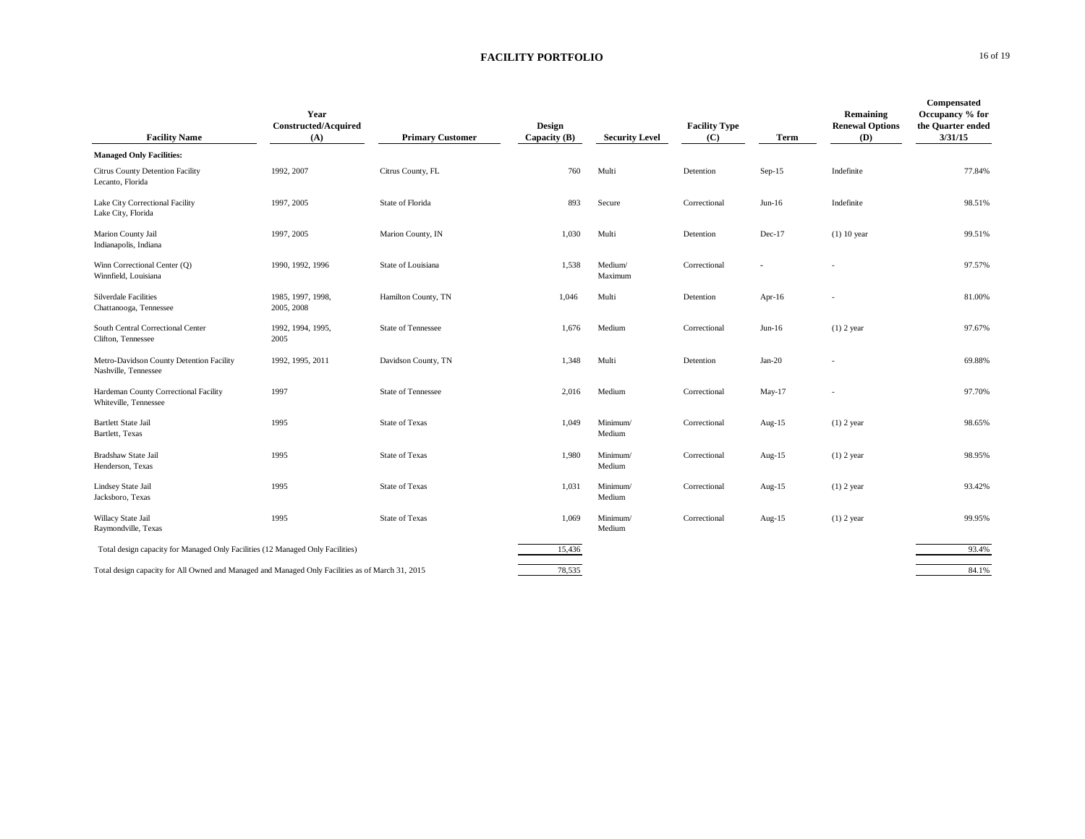### **FACILITY PORTFOLIO** 16 of 19

| <b>Facility Name</b>                                                                             | Year<br><b>Constructed/Acquired</b><br>(A) | <b>Primary Customer</b>   | Design<br>Capacity $(B)$ | <b>Security Level</b> | <b>Facility Type</b><br>(C) | Term      | Remaining<br><b>Renewal Options</b><br>(D) | Compensated<br>Occupancy % for<br>the Quarter ended<br>3/31/15 |
|--------------------------------------------------------------------------------------------------|--------------------------------------------|---------------------------|--------------------------|-----------------------|-----------------------------|-----------|--------------------------------------------|----------------------------------------------------------------|
| <b>Managed Only Facilities:</b>                                                                  |                                            |                           |                          |                       |                             |           |                                            |                                                                |
| Citrus County Detention Facility<br>Lecanto, Florida                                             | 1992, 2007                                 | Citrus County, FL         | 760                      | Multi                 | Detention                   | $Sep-15$  | Indefinite                                 | 77.84%                                                         |
| Lake City Correctional Facility<br>Lake City, Florida                                            | 1997, 2005                                 | State of Florida          | 893                      | Secure                | Correctional                | $Jun-16$  | Indefinite                                 | 98.51%                                                         |
| Marion County Jail<br>Indianapolis, Indiana                                                      | 1997, 2005                                 | Marion County, IN         | 1,030                    | Multi                 | Detention                   | $Dec-17$  | $(1)$ 10 year                              | 99.51%                                                         |
| Winn Correctional Center (Q)<br>Winnfield, Louisiana                                             | 1990, 1992, 1996                           | State of Louisiana        | 1,538                    | Medium/<br>Maximum    | Correctional                |           |                                            | 97.57%                                                         |
| <b>Silverdale Facilities</b><br>Chattanooga, Tennessee                                           | 1985, 1997, 1998,<br>2005, 2008            | Hamilton County, TN       | 1,046                    | Multi                 | Detention                   | Apr- $16$ |                                            | 81.00%                                                         |
| South Central Correctional Center<br>Clifton, Tennessee                                          | 1992, 1994, 1995,<br>2005                  | <b>State of Tennessee</b> | 1,676                    | Medium                | Correctional                | $Jun-16$  | $(1)$ 2 year                               | 97.67%                                                         |
| Metro-Davidson County Detention Facility<br>Nashville, Tennessee                                 | 1992, 1995, 2011                           | Davidson County, TN       | 1,348                    | Multi                 | Detention                   | $Jan-20$  |                                            | 69.88%                                                         |
| Hardeman County Correctional Facility<br>Whiteville, Tennessee                                   | 1997                                       | <b>State of Tennessee</b> | 2,016                    | Medium                | Correctional                | $May-17$  |                                            | 97.70%                                                         |
| <b>Bartlett State Jail</b><br>Bartlett, Texas                                                    | 1995                                       | <b>State of Texas</b>     | 1,049                    | Minimum/<br>Medium    | Correctional                | Aug- $15$ | $(1)$ 2 year                               | 98.65%                                                         |
| Bradshaw State Jail<br>Henderson, Texas                                                          | 1995                                       | <b>State of Texas</b>     | 1,980                    | Minimum/<br>Medium    | Correctional                | Aug- $15$ | $(1)$ 2 year                               | 98.95%                                                         |
| Lindsey State Jail<br>Jacksboro, Texas                                                           | 1995                                       | <b>State of Texas</b>     | 1,031                    | Minimum/<br>Medium    | Correctional                | Aug- $15$ | $(1)$ 2 year                               | 93.42%                                                         |
| Willacy State Jail<br>Raymondville, Texas                                                        | 1995                                       | <b>State of Texas</b>     | 1,069                    | Minimum/<br>Medium    | Correctional                | Aug- $15$ | $(1)$ 2 year                               | 99.95%                                                         |
| Total design capacity for Managed Only Facilities (12 Managed Only Facilities)                   |                                            |                           | 15,436                   |                       |                             |           |                                            | 93.4%                                                          |
| Total design capacity for All Owned and Managed and Managed Only Facilities as of March 31, 2015 |                                            |                           | 78,535                   |                       |                             |           |                                            | 84.1%                                                          |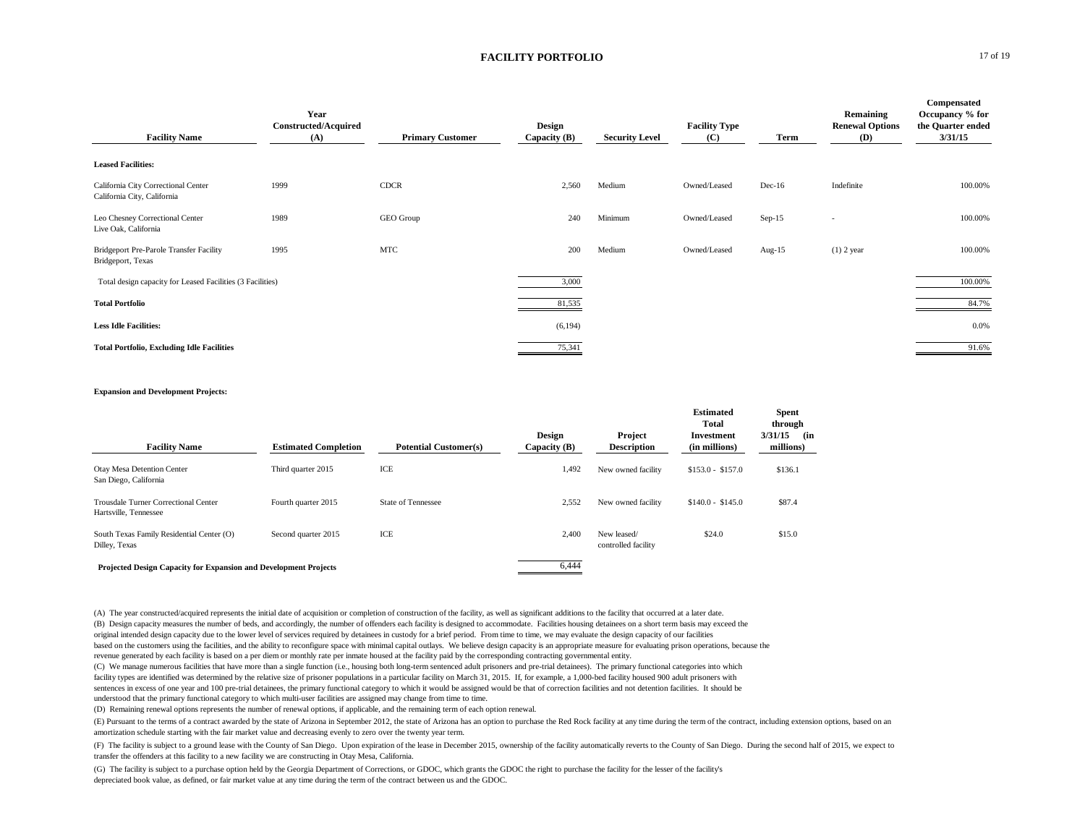#### **FACILITY PORTFOLIO** 17 of 19

| <b>Facility Name</b>                                               | Year<br><b>Constructed/Acquired</b><br>(A) | <b>Primary Customer</b> | Design<br>Capacity $(B)$ | <b>Security Level</b> | <b>Facility Type</b><br>(C) | Term      | Remaining<br><b>Renewal Options</b><br>(D) | Compensated<br>Occupancy % for<br>the Quarter ended<br>3/31/15 |
|--------------------------------------------------------------------|--------------------------------------------|-------------------------|--------------------------|-----------------------|-----------------------------|-----------|--------------------------------------------|----------------------------------------------------------------|
| <b>Leased Facilities:</b>                                          |                                            |                         |                          |                       |                             |           |                                            |                                                                |
| California City Correctional Center<br>California City, California | 1999                                       | <b>CDCR</b>             | 2,560                    | Medium                | Owned/Leased                | $Dec-16$  | Indefinite                                 | 100.00%                                                        |
| Leo Chesney Correctional Center<br>Live Oak, California            | 1989                                       | GEO Group               | 240                      | Minimum               | Owned/Leased                | $Sep-15$  | $\overline{\phantom{a}}$                   | 100.00%                                                        |
| Bridgeport Pre-Parole Transfer Facility<br>Bridgeport, Texas       | 1995                                       | <b>MTC</b>              | 200                      | Medium                | Owned/Leased                | Aug- $15$ | $(1)$ 2 year                               | 100.00%                                                        |
| Total design capacity for Leased Facilities (3 Facilities)         |                                            |                         | 3,000                    |                       |                             |           |                                            | 100.00%                                                        |
| <b>Total Portfolio</b>                                             |                                            |                         | 81,535                   |                       |                             |           |                                            | 84.7%                                                          |
| <b>Less Idle Facilities:</b>                                       |                                            |                         | (6, 194)                 |                       |                             |           |                                            | 0.0%                                                           |
| <b>Total Portfolio, Excluding Idle Facilities</b>                  |                                            |                         | 75,341                   |                       |                             |           |                                            | 91.6%                                                          |

#### **Expansion and Development Projects:**

| <b>Facility Name</b>                                             | <b>Estimated Completion</b> | <b>Potential Customer(s)</b> | Design<br>Capacity (B) | Project<br><b>Description</b>      | <b>Estimated</b><br>Total<br>Investment<br>(in millions) | <b>Spent</b><br>through<br>3/31/15<br>(in<br>millions) |
|------------------------------------------------------------------|-----------------------------|------------------------------|------------------------|------------------------------------|----------------------------------------------------------|--------------------------------------------------------|
| Otay Mesa Detention Center<br>San Diego, California              | Third quarter 2015          | ICE                          | 1,492                  | New owned facility                 | $$153.0 - $157.0$                                        | \$136.1                                                |
| Trousdale Turner Correctional Center<br>Hartsville, Tennessee    | Fourth quarter 2015         | <b>State of Tennessee</b>    | 2,552                  | New owned facility                 | $$140.0 - $145.0$                                        | \$87.4                                                 |
| South Texas Family Residential Center (O)<br>Dilley, Texas       | Second quarter 2015         | ICE                          | 2,400                  | New leased/<br>controlled facility | \$24.0                                                   | \$15.0                                                 |
| Projected Design Capacity for Expansion and Development Projects |                             |                              | 6,444                  |                                    |                                                          |                                                        |

(A) The year constructed/acquired represents the initial date of acquisition or completion of construction of the facility, as well as significant additions to the facility that occurred at a later date. (B) Design capacity measures the number of beds, and accordingly, the number of offenders each facility is designed to accommodate. Facilities housing detainees on a short term basis may exceed the original intended design capacity due to the lower level of services required by detainees in custody for a brief period. From time to time, we may evaluate the design capacity of our facilities based on the customers using the facilities, and the ability to reconfigure space with minimal capital outlays. We believe design capacity is an appropriate measure for evaluating prison operations, because the revenue generated by each facility is based on a per diem or monthly rate per inmate housed at the facility paid by the corresponding contracting governmental entity.

(C) We manage numerous facilities that have more than a single function (i.e., housing both long-term sentenced adult prisoners and pre-trial detainees). The primary functional categories into which facility types are identified was determined by the relative size of prisoner populations in a particular facility on March 31, 2015. If, for example, a 1,000-bed facility housed 900 adult prisoners with sentences in excess of one year and 100 pre-trial detainees, the primary functional category to which it would be assigned would be that of correction facilities and not detention facilities. It should be understood that the primary functional category to which multi-user facilities are assigned may change from time to time.

(D) Remaining renewal options represents the number of renewal options, if applicable, and the remaining term of each option renewal.

(E) Pursuant to the terms of a contract awarded by the state of Arizona in September 2012, the state of Arizona has an option to purchase the Red Rock facility at any time during the term of the contract, including extensi amortization schedule starting with the fair market value and decreasing evenly to zero over the twenty year term.

(F) The facility is subject to a ground lease with the County of San Diego. Upon expiration of the lease in December 2015, ownership of the facility automatically reverts to the County of San Diego. During the second half transfer the offenders at this facility to a new facility we are constructing in Otay Mesa, California.

(G) The facility is subject to a purchase option held by the Georgia Department of Corrections, or GDOC, which grants the GDOC the right to purchase the facility for the lesser of the facility's depreciated book value, as defined, or fair market value at any time during the term of the contract between us and the GDOC.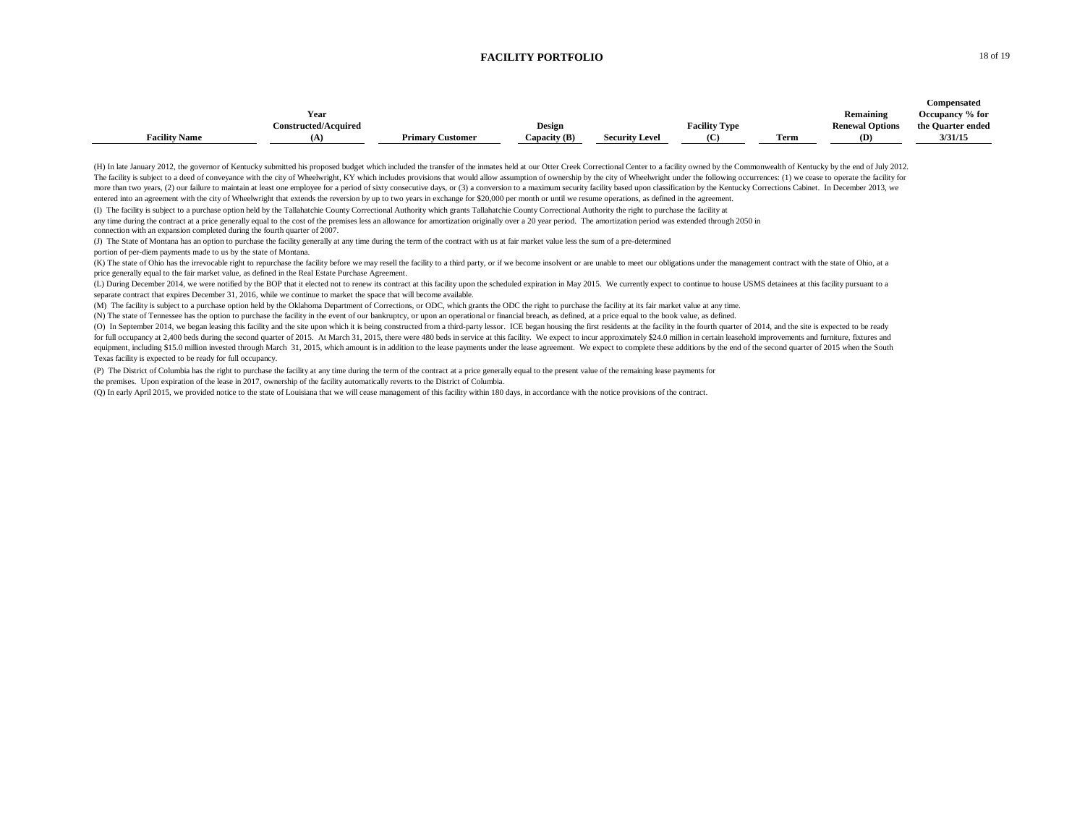#### **FACILITY PORTFOLIO** 18 of 19

|                      |                             |                         |               |                       |                      |      |                        | <b>Compensated</b> |
|----------------------|-----------------------------|-------------------------|---------------|-----------------------|----------------------|------|------------------------|--------------------|
|                      | Year                        |                         |               |                       |                      |      | Remaining              | Occupancy % for    |
|                      | <b>Constructed/Acquired</b> |                         | <b>Design</b> |                       | <b>Facility Type</b> |      | <b>Renewal Options</b> | the Quarter ended  |
| <b>Facility Name</b> |                             | <b>Primary Customer</b> | Capacity (B)  | <b>Security Level</b> | (C)                  | Term | (D)                    | 3/31/15            |

(H) In late January 2012, the governor of Kentucky submitted his proposed budget which included the transfer of the inmates held at our Otter Creek Correctional Center to a facility owned by the Commonwealth of Kentucky by The facility is subject to a deed of conveyance with the city of Wheelwright, KY which includes provisions that would allow assumption of ownership by the city of Wheelwright under the following occurrences: (1) we cease t more than two years, (2) our failure to maintain at least one employee for a period of sixty consecutive days, or (3) a conversion to a maximum security facility based upon classification by the Kentucky Corrections Cabine entered into an agreement with the city of Wheelwright that extends the reversion by up to two years in exchange for \$20,000 per month or until we resume operations, as defined in the agreement.

(I) The facility is subject to a purchase option held by the Tallahatchie County Correctional Authority which grants Tallahatchie County Correctional Authority the right to purchase the facility at

any time during the contract at a price generally equal to the cost of the premises less an allowance for amortization originally over a 20 year period. The amortization period was extended through 2050 in connection with an expansion completed during the fourth quarter of 2007.

(J) The State of Montana has an option to purchase the facility generally at any time during the term of the contract with us at fair market value less the sum of a pre-determined

portion of per-diem payments made to us by the state of Montana.

(K) The state of Ohio has the irrevocable right to repurchase the facility before we may resell the facility to a third party, or if we become insolvent or are unable to meet our obligations under the management contract w price generally equal to the fair market value, as defined in the Real Estate Purchase Agreement.

(L) During December 2014, we were notified by the BOP that it elected not to renew its contract at this facility upon the scheduled expiration in May 2015. We currently expect to continue to house USMS detainees at this fa separate contract that expires December 31, 2016, while we continue to market the space that will become available.

(M) The facility is subject to a purchase option held by the Oklahoma Department of Corrections, or ODC, which grants the ODC the right to purchase the facility at its fair market value at any time.

(N) The state of Tennessee has the option to purchase the facility in the event of our bankruptcy, or upon an operational or financial breach, as defined, at a price equal to the book value, as defined.

(O) In September 2014, we began leasing this facility and the site upon which it is being constructed from a third-party lessor. ICE began housing the first residents at the facility in the fourth quarter of 2014, and the for full occupancy at 2,400 beds during the second quarter of 2015. At March 31, 2015, there were 480 beds in service at this facility. We expect to incur approximately \$24.0 million in certain leasehold improvements and f equipment, including \$15.0 million invested through March 31, 2015, which amount is in addition to the lease payments under the lease agreement. We expect to complete these additions by the end of the second quarter of 201 Texas facility is expected to be ready for full occupancy.

(P) The District of Columbia has the right to purchase the facility at any time during the term of the contract at a price generally equal to the present value of the remaining lease payments for the premises. Upon expiration of the lease in 2017, ownership of the facility automatically reverts to the District of Columbia.

(Q) In early April 2015, we provided notice to the state of Louisiana that we will cease management of this facility within 180 days, in accordance with the notice provisions of the contract.